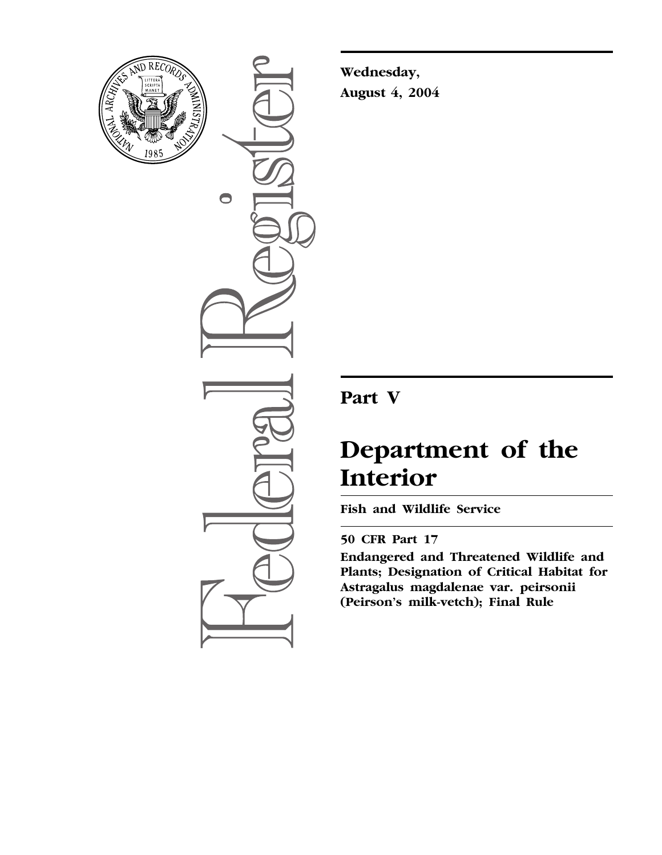

 $\bigcirc$ 

**Wednesday, August 4, 2004**

## **Part V**

# **Department of the Interior**

**Fish and Wildlife Service** 

### **50 CFR Part 17**

**Endangered and Threatened Wildlife and Plants; Designation of Critical Habitat for Astragalus magdalenae var. peirsonii (Peirson's milk-vetch); Final Rule**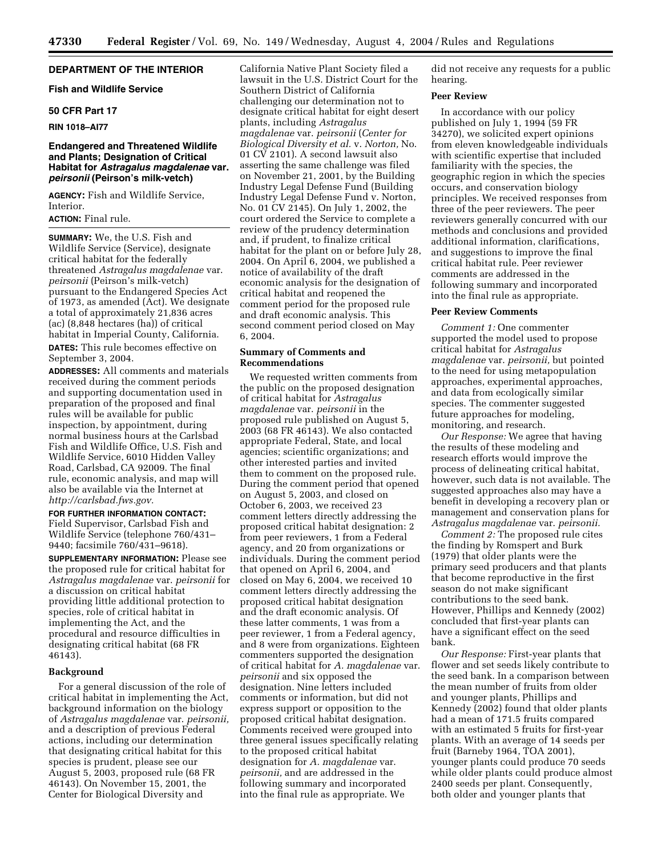#### **DEPARTMENT OF THE INTERIOR**

#### **Fish and Wildlife Service**

#### **50 CFR Part 17**

#### **RIN 1018–AI77**

#### **Endangered and Threatened Wildlife and Plants; Designation of Critical Habitat for** *Astragalus magdalenae* **var.**  *peirsonii* **(Peirson's milk-vetch)**

**AGENCY:** Fish and Wildlife Service, Interior.

#### **ACTION:** Final rule.

**SUMMARY:** We, the U.S. Fish and Wildlife Service (Service), designate critical habitat for the federally threatened *Astragalus magdalenae* var. *peirsonii* (Peirson's milk-vetch) pursuant to the Endangered Species Act of 1973, as amended (Act). We designate a total of approximately 21,836 acres (ac) (8,848 hectares (ha)) of critical habitat in Imperial County, California.

**DATES:** This rule becomes effective on September 3, 2004.

**ADDRESSES:** All comments and materials received during the comment periods and supporting documentation used in preparation of the proposed and final rules will be available for public inspection, by appointment, during normal business hours at the Carlsbad Fish and Wildlife Office, U.S. Fish and Wildlife Service, 6010 Hidden Valley Road, Carlsbad, CA 92009. The final rule, economic analysis, and map will also be available via the Internet at *[http://carlsbad.fws.gov.](http://carlsbad.fws.gov)*

#### **FOR FURTHER INFORMATION CONTACT:**

Field Supervisor, Carlsbad Fish and Wildlife Service (telephone 760/431– 9440; facsimile 760/431–9618).

**SUPPLEMENTARY INFORMATION:** Please see the proposed rule for critical habitat for *Astragalus magdalenae* var. *peirsonii* for a discussion on critical habitat providing little additional protection to species, role of critical habitat in implementing the Act, and the procedural and resource difficulties in designating critical habitat (68 FR 46143).

#### **Background**

For a general discussion of the role of critical habitat in implementing the Act, background information on the biology of *Astragalus magdalenae* var. *peirsonii,* and a description of previous Federal actions, including our determination that designating critical habitat for this species is prudent, please see our August 5, 2003, proposed rule (68 FR 46143). On November 15, 2001, the Center for Biological Diversity and

California Native Plant Society filed a lawsuit in the U.S. District Court for the Southern District of California challenging our determination not to designate critical habitat for eight desert plants, including *Astragalus magdalenae* var. *peirsonii* (*Center for Biological Diversity et al.* v. *Norton,* No. 01 CV 2101). A second lawsuit also asserting the same challenge was filed on November 21, 2001, by the Building Industry Legal Defense Fund (Building Industry Legal Defense Fund v. Norton, No. 01 CV 2145). On July 1, 2002, the court ordered the Service to complete a review of the prudency determination and, if prudent, to finalize critical habitat for the plant on or before July 28, 2004. On April 6, 2004, we published a notice of availability of the draft economic analysis for the designation of critical habitat and reopened the comment period for the proposed rule and draft economic analysis. This second comment period closed on May 6, 2004.

#### **Summary of Comments and Recommendations**

We requested written comments from the public on the proposed designation of critical habitat for *Astragalus magdalenae* var. *peirsonii* in the proposed rule published on August 5, 2003 (68 FR 46143). We also contacted appropriate Federal, State, and local agencies; scientific organizations; and other interested parties and invited them to comment on the proposed rule. During the comment period that opened on August 5, 2003, and closed on October 6, 2003, we received 23 comment letters directly addressing the proposed critical habitat designation: 2 from peer reviewers, 1 from a Federal agency, and 20 from organizations or individuals. During the comment period that opened on April 6, 2004, and closed on May 6, 2004, we received 10 comment letters directly addressing the proposed critical habitat designation and the draft economic analysis. Of these latter comments, 1 was from a peer reviewer, 1 from a Federal agency, and 8 were from organizations. Eighteen commenters supported the designation of critical habitat for *A. magdalenae* var. *peirsonii* and six opposed the designation. Nine letters included comments or information, but did not express support or opposition to the proposed critical habitat designation. Comments received were grouped into three general issues specifically relating to the proposed critical habitat designation for *A. magdalenae* var. *peirsonii,* and are addressed in the following summary and incorporated into the final rule as appropriate. We

did not receive any requests for a public hearing.

#### **Peer Review**

In accordance with our policy published on July 1, 1994 (59 FR 34270), we solicited expert opinions from eleven knowledgeable individuals with scientific expertise that included familiarity with the species, the geographic region in which the species occurs, and conservation biology principles. We received responses from three of the peer reviewers. The peer reviewers generally concurred with our methods and conclusions and provided additional information, clarifications, and suggestions to improve the final critical habitat rule. Peer reviewer comments are addressed in the following summary and incorporated into the final rule as appropriate.

#### **Peer Review Comments**

*Comment 1:* One commenter supported the model used to propose critical habitat for *Astragalus magdalenae* var. *peirsonii,* but pointed to the need for using metapopulation approaches, experimental approaches, and data from ecologically similar species. The commenter suggested future approaches for modeling, monitoring, and research.

*Our Response:* We agree that having the results of these modeling and research efforts would improve the process of delineating critical habitat, however, such data is not available. The suggested approaches also may have a benefit in developing a recovery plan or management and conservation plans for *Astragalus magdalenae* var. *peirsonii.*

*Comment 2:* The proposed rule cites the finding by Romspert and Burk (1979) that older plants were the primary seed producers and that plants that become reproductive in the first season do not make significant contributions to the seed bank. However, Phillips and Kennedy (2002) concluded that first-year plants can have a significant effect on the seed bank.

*Our Response:* First-year plants that flower and set seeds likely contribute to the seed bank. In a comparison between the mean number of fruits from older and younger plants, Phillips and Kennedy (2002) found that older plants had a mean of 171.5 fruits compared with an estimated 5 fruits for first-year plants. With an average of 14 seeds per fruit (Barneby 1964, TOA 2001), younger plants could produce 70 seeds while older plants could produce almost 2400 seeds per plant. Consequently, both older and younger plants that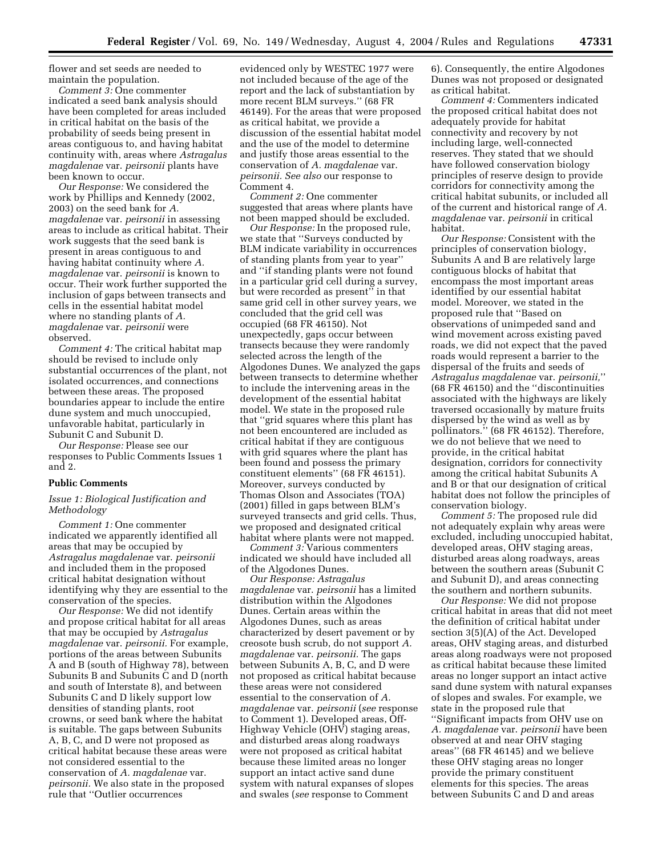flower and set seeds are needed to maintain the population.

*Comment 3:* One commenter indicated a seed bank analysis should have been completed for areas included in critical habitat on the basis of the probability of seeds being present in areas contiguous to, and having habitat continuity with, areas where *Astragalus magdalenae* var. *peirsonii* plants have been known to occur.

*Our Response:* We considered the work by Phillips and Kennedy (2002, 2003) on the seed bank for *A. magdalenae* var. *peirsonii* in assessing areas to include as critical habitat. Their work suggests that the seed bank is present in areas contiguous to and having habitat continuity where *A. magdalenae* var. *peirsonii* is known to occur. Their work further supported the inclusion of gaps between transects and cells in the essential habitat model where no standing plants of *A. magdalenae* var. *peirsonii* were observed.

*Comment 4:* The critical habitat map should be revised to include only substantial occurrences of the plant, not isolated occurrences, and connections between these areas. The proposed boundaries appear to include the entire dune system and much unoccupied, unfavorable habitat, particularly in Subunit C and Subunit D.

*Our Response:* Please see our responses to Public Comments Issues 1 and 2.

#### **Public Comments**

#### *Issue 1: Biological Justification and Methodology*

*Comment 1:* One commenter indicated we apparently identified all areas that may be occupied by *Astragalus magdalenae* var. *peirsonii* and included them in the proposed critical habitat designation without identifying why they are essential to the conservation of the species.

*Our Response:* We did not identify and propose critical habitat for all areas that may be occupied by *Astragalus magdalenae* var. *peirsonii.* For example, portions of the areas between Subunits A and B (south of Highway 78), between Subunits B and Subunits C and D (north and south of Interstate 8), and between Subunits C and D likely support low densities of standing plants, root crowns, or seed bank where the habitat is suitable. The gaps between Subunits A, B, C, and D were not proposed as critical habitat because these areas were not considered essential to the conservation of *A. magdalenae* var. *peirsonii.* We also state in the proposed rule that ''Outlier occurrences

evidenced only by WESTEC 1977 were not included because of the age of the report and the lack of substantiation by more recent BLM surveys.'' (68 FR 46149). For the areas that were proposed as critical habitat, we provide a discussion of the essential habitat model and the use of the model to determine and justify those areas essential to the conservation of *A. magdalenae* var. *peirsonii. See also* our response to Comment 4.

*Comment 2:* One commenter suggested that areas where plants have not been mapped should be excluded.

*Our Response:* In the proposed rule, we state that ''Surveys conducted by BLM indicate variability in occurrences of standing plants from year to year'' and ''if standing plants were not found in a particular grid cell during a survey, but were recorded as present'' in that same grid cell in other survey years, we concluded that the grid cell was occupied (68 FR 46150). Not unexpectedly, gaps occur between transects because they were randomly selected across the length of the Algodones Dunes. We analyzed the gaps between transects to determine whether to include the intervening areas in the development of the essential habitat model. We state in the proposed rule that ''grid squares where this plant has not been encountered are included as critical habitat if they are contiguous with grid squares where the plant has been found and possess the primary constituent elements'' (68 FR 46151). Moreover, surveys conducted by Thomas Olson and Associates (TOA) (2001) filled in gaps between BLM's surveyed transects and grid cells. Thus, we proposed and designated critical habitat where plants were not mapped.

*Comment 3:* Various commenters indicated we should have included all of the Algodones Dunes.

*Our Response: Astragalus magdalenae* var. *peirsonii* has a limited distribution within the Algodones Dunes. Certain areas within the Algodones Dunes, such as areas characterized by desert pavement or by creosote bush scrub, do not support *A. magdalenae* var. *peirsonii.* The gaps between Subunits A, B, C, and D were not proposed as critical habitat because these areas were not considered essential to the conservation of *A. magdalenae* var. *peirsonii* (*see* response to Comment 1). Developed areas, Off-Highway Vehicle (OHV) staging areas, and disturbed areas along roadways were not proposed as critical habitat because these limited areas no longer support an intact active sand dune system with natural expanses of slopes and swales (*see* response to Comment

6). Consequently, the entire Algodones Dunes was not proposed or designated as critical habitat.

*Comment 4:* Commenters indicated the proposed critical habitat does not adequately provide for habitat connectivity and recovery by not including large, well-connected reserves. They stated that we should have followed conservation biology principles of reserve design to provide corridors for connectivity among the critical habitat subunits, or included all of the current and historical range of *A. magdalenae* var. *peirsonii* in critical habitat.

*Our Response:* Consistent with the principles of conservation biology, Subunits A and B are relatively large contiguous blocks of habitat that encompass the most important areas identified by our essential habitat model. Moreover, we stated in the proposed rule that ''Based on observations of unimpeded sand and wind movement across existing paved roads, we did not expect that the paved roads would represent a barrier to the dispersal of the fruits and seeds of *Astragalus magdalenae* var. *peirsonii,*'' (68 FR 46150) and the ''discontinuities associated with the highways are likely traversed occasionally by mature fruits dispersed by the wind as well as by pollinators.'' (68 FR 46152). Therefore, we do not believe that we need to provide, in the critical habitat designation, corridors for connectivity among the critical habitat Subunits A and B or that our designation of critical habitat does not follow the principles of conservation biology.

*Comment 5:* The proposed rule did not adequately explain why areas were excluded, including unoccupied habitat, developed areas, OHV staging areas, disturbed areas along roadways, areas between the southern areas (Subunit C and Subunit D), and areas connecting the southern and northern subunits.

*Our Response:* We did not propose critical habitat in areas that did not meet the definition of critical habitat under section 3(5)(A) of the Act. Developed areas, OHV staging areas, and disturbed areas along roadways were not proposed as critical habitat because these limited areas no longer support an intact active sand dune system with natural expanses of slopes and swales. For example, we state in the proposed rule that ''Significant impacts from OHV use on *A. magdalenae* var. *peirsonii* have been observed at and near OHV staging areas'' (68 FR 46145) and we believe these OHV staging areas no longer provide the primary constituent elements for this species. The areas between Subunits C and D and areas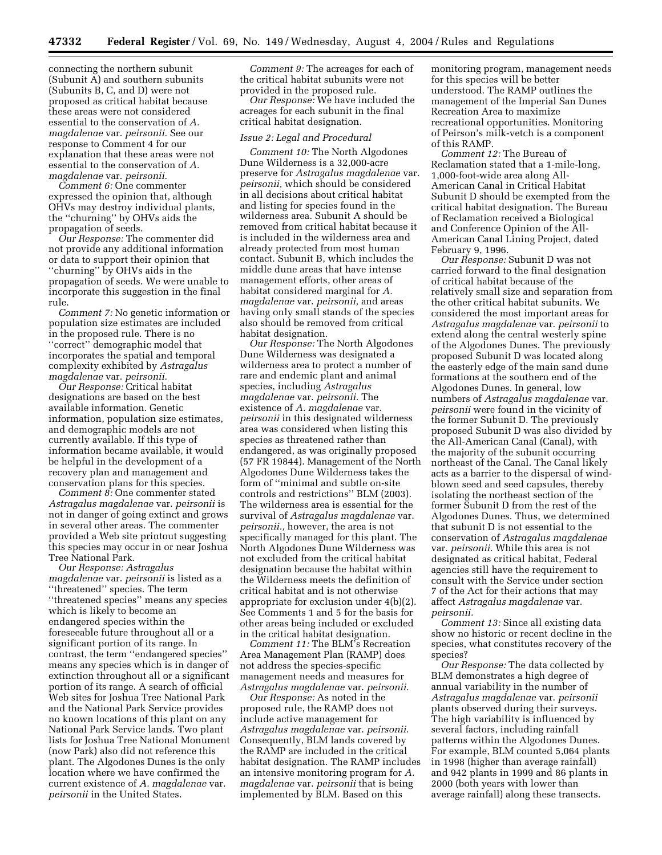connecting the northern subunit (Subunit A) and southern subunits (Subunits B, C, and D) were not proposed as critical habitat because these areas were not considered essential to the conservation of *A. magdalenae* var. *peirsonii.* See our response to Comment 4 for our explanation that these areas were not essential to the conservation of *A. magdalenae* var. *peirsonii.*

*Comment 6:* One commenter expressed the opinion that, although OHVs may destroy individual plants, the ''churning'' by OHVs aids the propagation of seeds.

*Our Response:* The commenter did not provide any additional information or data to support their opinion that ''churning'' by OHVs aids in the propagation of seeds. We were unable to incorporate this suggestion in the final rule.

*Comment 7:* No genetic information or population size estimates are included in the proposed rule. There is no ''correct'' demographic model that incorporates the spatial and temporal complexity exhibited by *Astragalus magdalenae* var. *peirsonii.*

*Our Response:* Critical habitat designations are based on the best available information. Genetic information, population size estimates, and demographic models are not currently available. If this type of information became available, it would be helpful in the development of a recovery plan and management and conservation plans for this species.

*Comment 8:* One commenter stated *Astragalus magdalenae* var. *peirsonii* is not in danger of going extinct and grows in several other areas. The commenter provided a Web site printout suggesting this species may occur in or near Joshua Tree National Park.

*Our Response: Astragalus magdalenae* var. *peirsonii* is listed as a ''threatened'' species. The term ''threatened species'' means any species which is likely to become an endangered species within the foreseeable future throughout all or a significant portion of its range. In contrast, the term ''endangered species'' means any species which is in danger of extinction throughout all or a significant portion of its range. A search of official Web sites for Joshua Tree National Park and the National Park Service provides no known locations of this plant on any National Park Service lands. Two plant lists for Joshua Tree National Monument (now Park) also did not reference this plant. The Algodones Dunes is the only location where we have confirmed the current existence of *A. magdalenae* var. *peirsonii* in the United States.

*Comment 9:* The acreages for each of the critical habitat subunits were not provided in the proposed rule.

*Our Response:* We have included the acreages for each subunit in the final critical habitat designation.

#### *Issue 2: Legal and Procedural*

*Comment 10:* The North Algodones Dune Wilderness is a 32,000-acre preserve for *Astragalus magdalenae* var. *peirsonii,* which should be considered in all decisions about critical habitat and listing for species found in the wilderness area. Subunit A should be removed from critical habitat because it is included in the wilderness area and already protected from most human contact. Subunit B, which includes the middle dune areas that have intense management efforts, other areas of habitat considered marginal for *A. magdalenae* var. *peirsonii,* and areas having only small stands of the species also should be removed from critical habitat designation.

*Our Response:* The North Algodones Dune Wilderness was designated a wilderness area to protect a number of rare and endemic plant and animal species, including *Astragalus magdalenae* var. *peirsonii.* The existence of *A. magdalenae* var. *peirsonii* in this designated wilderness area was considered when listing this species as threatened rather than endangered, as was originally proposed (57 FR 19844). Management of the North Algodones Dune Wilderness takes the form of ''minimal and subtle on-site controls and restrictions'' BLM (2003). The wilderness area is essential for the survival of *Astragalus magdalenae* var. *peirsonii.,* however, the area is not specifically managed for this plant. The North Algodones Dune Wilderness was not excluded from the critical habitat designation because the habitat within the Wilderness meets the definition of critical habitat and is not otherwise appropriate for exclusion under 4(b)(2). See Comments 1 and 5 for the basis for other areas being included or excluded in the critical habitat designation.

*Comment 11:* The BLM's Recreation Area Management Plan (RAMP) does not address the species-specific management needs and measures for *Astragalus magdalenae* var. *peirsonii.*

*Our Response:* As noted in the proposed rule, the RAMP does not include active management for *Astragalus magdalenae* var. *peirsonii.* Consequently, BLM lands covered by the RAMP are included in the critical habitat designation. The RAMP includes an intensive monitoring program for *A. magdalenae* var. *peirsonii* that is being implemented by BLM. Based on this

monitoring program, management needs for this species will be better understood. The RAMP outlines the management of the Imperial San Dunes Recreation Area to maximize recreational opportunities. Monitoring of Peirson's milk-vetch is a component of this RAMP.

*Comment 12:* The Bureau of Reclamation stated that a 1-mile-long, 1,000-foot-wide area along All-American Canal in Critical Habitat Subunit D should be exempted from the critical habitat designation. The Bureau of Reclamation received a Biological and Conference Opinion of the All-American Canal Lining Project, dated February 9, 1996.

*Our Response:* Subunit D was not carried forward to the final designation of critical habitat because of the relatively small size and separation from the other critical habitat subunits. We considered the most important areas for *Astragalus magdalenae* var. *peirsonii* to extend along the central westerly spine of the Algodones Dunes. The previously proposed Subunit D was located along the easterly edge of the main sand dune formations at the southern end of the Algodones Dunes. In general, low numbers of *Astragalus magdalenae* var. *peirsonii* were found in the vicinity of the former Subunit D. The previously proposed Subunit D was also divided by the All-American Canal (Canal), with the majority of the subunit occurring northeast of the Canal. The Canal likely acts as a barrier to the dispersal of windblown seed and seed capsules, thereby isolating the northeast section of the former Subunit D from the rest of the Algodones Dunes. Thus, we determined that subunit D is not essential to the conservation of *Astragalus magdalenae* var. *peirsonii.* While this area is not designated as critical habitat, Federal agencies still have the requirement to consult with the Service under section 7 of the Act for their actions that may affect *Astragalus magdalenae* var. *peirsonii.*

*Comment 13:* Since all existing data show no historic or recent decline in the species, what constitutes recovery of the species?

*Our Response:* The data collected by BLM demonstrates a high degree of annual variability in the number of *Astragalus magdalenae* var. *peirsonii* plants observed during their surveys. The high variability is influenced by several factors, including rainfall patterns within the Algodones Dunes. For example, BLM counted 5,064 plants in 1998 (higher than average rainfall) and 942 plants in 1999 and 86 plants in 2000 (both years with lower than average rainfall) along these transects.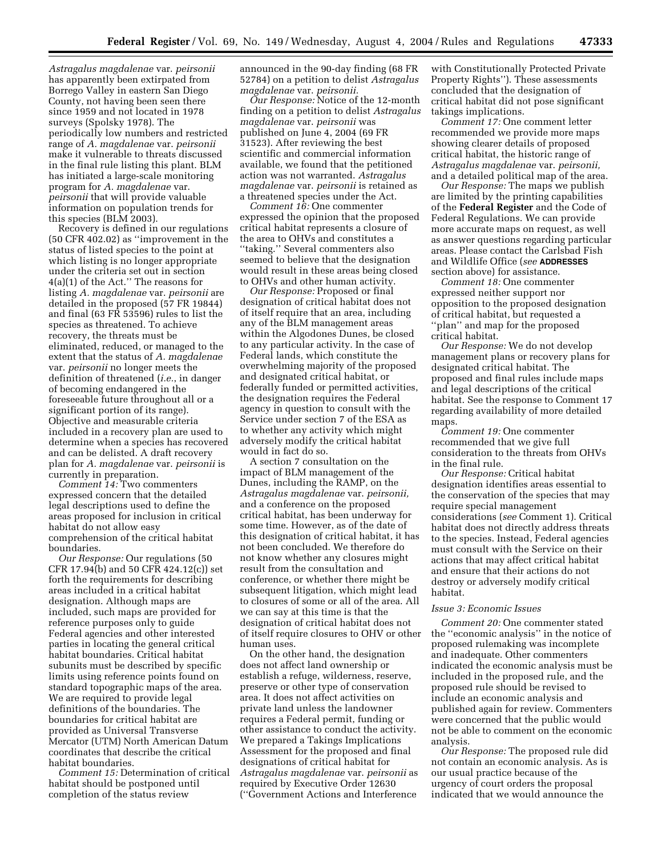*Astragalus magdalenae* var. *peirsonii* has apparently been extirpated from Borrego Valley in eastern San Diego County, not having been seen there since 1959 and not located in 1978 surveys (Spolsky 1978). The periodically low numbers and restricted range of *A. magdalenae* var. *peirsonii* make it vulnerable to threats discussed in the final rule listing this plant. BLM has initiated a large-scale monitoring program for *A. magdalenae* var. *peirsonii* that will provide valuable information on population trends for this species (BLM 2003).

Recovery is defined in our regulations (50 CFR 402.02) as ''improvement in the status of listed species to the point at which listing is no longer appropriate under the criteria set out in section 4(a)(1) of the Act.'' The reasons for listing *A. magdalenae* var. *peirsonii* are detailed in the proposed (57 FR 19844) and final (63 FR 53596) rules to list the species as threatened. To achieve recovery, the threats must be eliminated, reduced, or managed to the extent that the status of *A. magdalenae* var. *peirsonii* no longer meets the definition of threatened (*i.e.*, in danger of becoming endangered in the foreseeable future throughout all or a significant portion of its range). Objective and measurable criteria included in a recovery plan are used to determine when a species has recovered and can be delisted. A draft recovery plan for *A. magdalenae* var. *peirsonii* is currently in preparation.

*Comment 14:* Two commenters expressed concern that the detailed legal descriptions used to define the areas proposed for inclusion in critical habitat do not allow easy comprehension of the critical habitat boundaries.

*Our Response:* Our regulations (50 CFR 17.94(b) and 50 CFR 424.12(c)) set forth the requirements for describing areas included in a critical habitat designation. Although maps are included, such maps are provided for reference purposes only to guide Federal agencies and other interested parties in locating the general critical habitat boundaries. Critical habitat subunits must be described by specific limits using reference points found on standard topographic maps of the area. We are required to provide legal definitions of the boundaries. The boundaries for critical habitat are provided as Universal Transverse Mercator (UTM) North American Datum coordinates that describe the critical habitat boundaries.

*Comment 15:* Determination of critical habitat should be postponed until completion of the status review

announced in the 90-day finding (68 FR 52784) on a petition to delist *Astragalus magdalenae* var. *peirsonii.*

*Our Response:* Notice of the 12-month finding on a petition to delist *Astragalus magdalenae* var. *peirsonii* was published on June 4, 2004 (69 FR 31523). After reviewing the best scientific and commercial information available, we found that the petitioned action was not warranted. *Astragalus magdalenae* var. *peirsonii* is retained as a threatened species under the Act.

*Comment 16:* One commenter expressed the opinion that the proposed critical habitat represents a closure of the area to OHVs and constitutes a ''taking.'' Several commenters also seemed to believe that the designation would result in these areas being closed to OHVs and other human activity.

*Our Response:* Proposed or final designation of critical habitat does not of itself require that an area, including any of the BLM management areas within the Algodones Dunes, be closed to any particular activity. In the case of Federal lands, which constitute the overwhelming majority of the proposed and designated critical habitat, or federally funded or permitted activities, the designation requires the Federal agency in question to consult with the Service under section 7 of the ESA as to whether any activity which might adversely modify the critical habitat would in fact do so.

A section 7 consultation on the impact of BLM management of the Dunes, including the RAMP, on the *Astragalus magdalenae* var. *peirsonii,* and a conference on the proposed critical habitat, has been underway for some time. However, as of the date of this designation of critical habitat, it has not been concluded. We therefore do not know whether any closures might result from the consultation and conference, or whether there might be subsequent litigation, which might lead to closures of some or all of the area. All we can say at this time is that the designation of critical habitat does not of itself require closures to OHV or other human uses.

On the other hand, the designation does not affect land ownership or establish a refuge, wilderness, reserve, preserve or other type of conservation area. It does not affect activities on private land unless the landowner requires a Federal permit, funding or other assistance to conduct the activity. We prepared a Takings Implications Assessment for the proposed and final designations of critical habitat for *Astragalus magdalenae* var. *peirsonii* as required by Executive Order 12630 (''Government Actions and Interference

with Constitutionally Protected Private Property Rights''). These assessments concluded that the designation of critical habitat did not pose significant takings implications.

*Comment 17:* One comment letter recommended we provide more maps showing clearer details of proposed critical habitat, the historic range of *Astragalus magdalenae* var. *peirsonii,* and a detailed political map of the area.

*Our Response:* The maps we publish are limited by the printing capabilities of the **Federal Register** and the Code of Federal Regulations. We can provide more accurate maps on request, as well as answer questions regarding particular areas. Please contact the Carlsbad Fish and Wildlife Office (*see* **ADDRESSES** section above) for assistance.

*Comment 18:* One commenter expressed neither support nor opposition to the proposed designation of critical habitat, but requested a ''plan'' and map for the proposed critical habitat.

*Our Response:* We do not develop management plans or recovery plans for designated critical habitat. The proposed and final rules include maps and legal descriptions of the critical habitat. See the response to Comment 17 regarding availability of more detailed maps.

*Comment 19:* One commenter recommended that we give full consideration to the threats from OHVs in the final rule.

*Our Response:* Critical habitat designation identifies areas essential to the conservation of the species that may require special management considerations (*see* Comment 1). Critical habitat does not directly address threats to the species. Instead, Federal agencies must consult with the Service on their actions that may affect critical habitat and ensure that their actions do not destroy or adversely modify critical habitat.

#### *Issue 3: Economic Issues*

*Comment 20:* One commenter stated the ''economic analysis'' in the notice of proposed rulemaking was incomplete and inadequate. Other commenters indicated the economic analysis must be included in the proposed rule, and the proposed rule should be revised to include an economic analysis and published again for review. Commenters were concerned that the public would not be able to comment on the economic analysis.

*Our Response:* The proposed rule did not contain an economic analysis. As is our usual practice because of the urgency of court orders the proposal indicated that we would announce the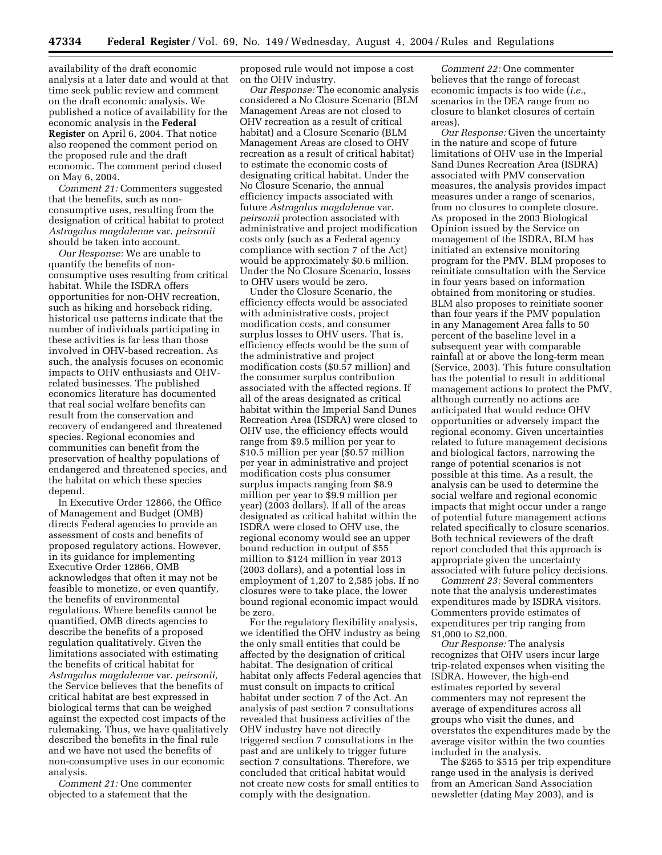availability of the draft economic analysis at a later date and would at that time seek public review and comment on the draft economic analysis. We published a notice of availability for the economic analysis in the **Federal Register** on April 6, 2004. That notice also reopened the comment period on the proposed rule and the draft economic. The comment period closed on May 6, 2004.

*Comment 21:* Commenters suggested that the benefits, such as nonconsumptive uses, resulting from the designation of critical habitat to protect *Astragalus magdalenae* var. *peirsonii* should be taken into account.

*Our Response:* We are unable to quantify the benefits of nonconsumptive uses resulting from critical habitat. While the ISDRA offers opportunities for non-OHV recreation, such as hiking and horseback riding, historical use patterns indicate that the number of individuals participating in these activities is far less than those involved in OHV-based recreation. As such, the analysis focuses on economic impacts to OHV enthusiasts and OHVrelated businesses. The published economics literature has documented that real social welfare benefits can result from the conservation and recovery of endangered and threatened species. Regional economies and communities can benefit from the preservation of healthy populations of endangered and threatened species, and the habitat on which these species depend.

In Executive Order 12866, the Office of Management and Budget (OMB) directs Federal agencies to provide an assessment of costs and benefits of proposed regulatory actions. However, in its guidance for implementing Executive Order 12866, OMB acknowledges that often it may not be feasible to monetize, or even quantify, the benefits of environmental regulations. Where benefits cannot be quantified, OMB directs agencies to describe the benefits of a proposed regulation qualitatively. Given the limitations associated with estimating the benefits of critical habitat for *Astragalus magdalenae* var. *peirsonii,* the Service believes that the benefits of critical habitat are best expressed in biological terms that can be weighed against the expected cost impacts of the rulemaking. Thus, we have qualitatively described the benefits in the final rule and we have not used the benefits of non-consumptive uses in our economic analysis.

*Comment 21:* One commenter objected to a statement that the

proposed rule would not impose a cost on the OHV industry.

*Our Response:* The economic analysis considered a No Closure Scenario (BLM Management Areas are not closed to OHV recreation as a result of critical habitat) and a Closure Scenario (BLM Management Areas are closed to OHV recreation as a result of critical habitat) to estimate the economic costs of designating critical habitat. Under the No Closure Scenario, the annual efficiency impacts associated with future *Astragalus magdalenae* var. *peirsonii* protection associated with administrative and project modification costs only (such as a Federal agency compliance with section 7 of the Act) would be approximately \$0.6 million. Under the No Closure Scenario, losses to OHV users would be zero.

Under the Closure Scenario, the efficiency effects would be associated with administrative costs, project modification costs, and consumer surplus losses to OHV users. That is, efficiency effects would be the sum of the administrative and project modification costs (\$0.57 million) and the consumer surplus contribution associated with the affected regions. If all of the areas designated as critical habitat within the Imperial Sand Dunes Recreation Area (ISDRA) were closed to OHV use, the efficiency effects would range from \$9.5 million per year to \$10.5 million per year (\$0.57 million per year in administrative and project modification costs plus consumer surplus impacts ranging from \$8.9 million per year to \$9.9 million per year) (2003 dollars). If all of the areas designated as critical habitat within the ISDRA were closed to OHV use, the regional economy would see an upper bound reduction in output of \$55 million to \$124 million in year 2013 (2003 dollars), and a potential loss in employment of 1,207 to 2,585 jobs. If no closures were to take place, the lower bound regional economic impact would be zero.

For the regulatory flexibility analysis, we identified the OHV industry as being the only small entities that could be affected by the designation of critical habitat. The designation of critical habitat only affects Federal agencies that must consult on impacts to critical habitat under section 7 of the Act. An analysis of past section 7 consultations revealed that business activities of the OHV industry have not directly triggered section 7 consultations in the past and are unlikely to trigger future section 7 consultations. Therefore, we concluded that critical habitat would not create new costs for small entities to comply with the designation.

*Comment 22:* One commenter believes that the range of forecast economic impacts is too wide (*i.e.*, scenarios in the DEA range from no closure to blanket closures of certain areas).

*Our Response:* Given the uncertainty in the nature and scope of future limitations of OHV use in the Imperial Sand Dunes Recreation Area (ISDRA) associated with PMV conservation measures, the analysis provides impact measures under a range of scenarios, from no closures to complete closure. As proposed in the 2003 Biological Opinion issued by the Service on management of the ISDRA, BLM has initiated an extensive monitoring program for the PMV. BLM proposes to reinitiate consultation with the Service in four years based on information obtained from monitoring or studies. BLM also proposes to reinitiate sooner than four years if the PMV population in any Management Area falls to 50 percent of the baseline level in a subsequent year with comparable rainfall at or above the long-term mean (Service, 2003). This future consultation has the potential to result in additional management actions to protect the PMV, although currently no actions are anticipated that would reduce OHV opportunities or adversely impact the regional economy. Given uncertainties related to future management decisions and biological factors, narrowing the range of potential scenarios is not possible at this time. As a result, the analysis can be used to determine the social welfare and regional economic impacts that might occur under a range of potential future management actions related specifically to closure scenarios. Both technical reviewers of the draft report concluded that this approach is appropriate given the uncertainty associated with future policy decisions.

*Comment 23:* Several commenters note that the analysis underestimates expenditures made by ISDRA visitors. Commenters provide estimates of expenditures per trip ranging from \$1,000 to \$2,000.

*Our Response:* The analysis recognizes that OHV users incur large trip-related expenses when visiting the ISDRA. However, the high-end estimates reported by several commenters may not represent the average of expenditures across all groups who visit the dunes, and overstates the expenditures made by the average visitor within the two counties included in the analysis.

The \$265 to \$515 per trip expenditure range used in the analysis is derived from an American Sand Association newsletter (dating May 2003), and is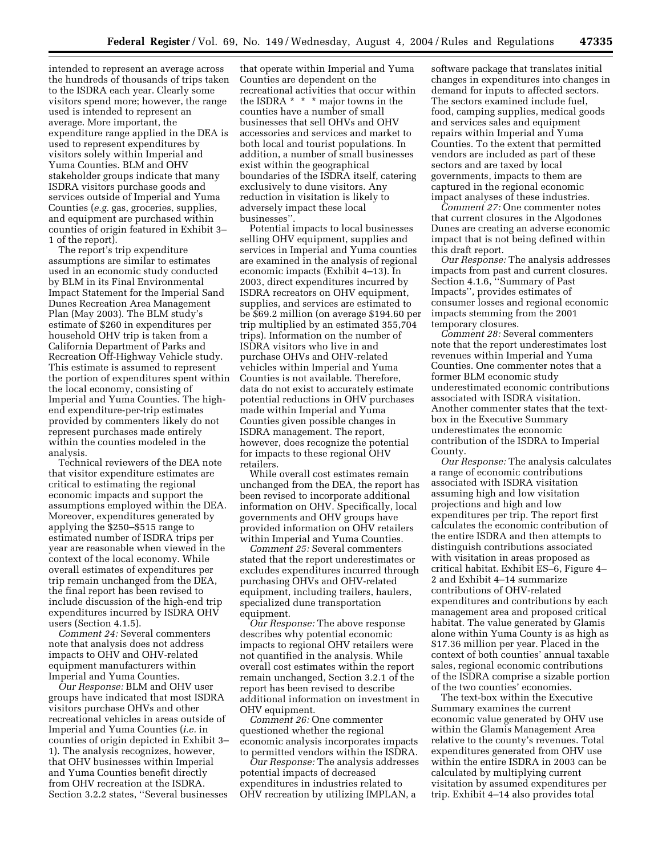intended to represent an average across the hundreds of thousands of trips taken to the ISDRA each year. Clearly some visitors spend more; however, the range used is intended to represent an average. More important, the expenditure range applied in the DEA is used to represent expenditures by visitors solely within Imperial and Yuma Counties. BLM and OHV stakeholder groups indicate that many ISDRA visitors purchase goods and services outside of Imperial and Yuma Counties (*e.g.* gas, groceries, supplies, and equipment are purchased within counties of origin featured in Exhibit 3– 1 of the report).

The report's trip expenditure assumptions are similar to estimates used in an economic study conducted by BLM in its Final Environmental Impact Statement for the Imperial Sand Dunes Recreation Area Management Plan (May 2003). The BLM study's estimate of \$260 in expenditures per household OHV trip is taken from a California Department of Parks and Recreation Off-Highway Vehicle study. This estimate is assumed to represent the portion of expenditures spent within the local economy, consisting of Imperial and Yuma Counties. The highend expenditure-per-trip estimates provided by commenters likely do not represent purchases made entirely within the counties modeled in the analysis.

Technical reviewers of the DEA note that visitor expenditure estimates are critical to estimating the regional economic impacts and support the assumptions employed within the DEA. Moreover, expenditures generated by applying the \$250–\$515 range to estimated number of ISDRA trips per year are reasonable when viewed in the context of the local economy. While overall estimates of expenditures per trip remain unchanged from the DEA, the final report has been revised to include discussion of the high-end trip expenditures incurred by ISDRA OHV users (Section 4.1.5).

*Comment 24:* Several commenters note that analysis does not address impacts to OHV and OHV-related equipment manufacturers within Imperial and Yuma Counties.

*Our Response:* BLM and OHV user groups have indicated that most ISDRA visitors purchase OHVs and other recreational vehicles in areas outside of Imperial and Yuma Counties (*i.e.* in counties of origin depicted in Exhibit 3– 1). The analysis recognizes, however, that OHV businesses within Imperial and Yuma Counties benefit directly from OHV recreation at the ISDRA. Section 3.2.2 states, ''Several businesses

that operate within Imperial and Yuma Counties are dependent on the recreational activities that occur within the ISDRA \* \* \* major towns in the counties have a number of small businesses that sell OHVs and OHV accessories and services and market to both local and tourist populations. In addition, a number of small businesses exist within the geographical boundaries of the ISDRA itself, catering exclusively to dune visitors. Any reduction in visitation is likely to adversely impact these local businesses''.

Potential impacts to local businesses selling OHV equipment, supplies and services in Imperial and Yuma counties are examined in the analysis of regional economic impacts (Exhibit 4–13). In 2003, direct expenditures incurred by ISDRA recreators on OHV equipment, supplies, and services are estimated to be \$69.2 million (on average \$194.60 per trip multiplied by an estimated 355,704 trips). Information on the number of ISDRA visitors who live in and purchase OHVs and OHV-related vehicles within Imperial and Yuma Counties is not available. Therefore, data do not exist to accurately estimate potential reductions in OHV purchases made within Imperial and Yuma Counties given possible changes in ISDRA management. The report, however, does recognize the potential for impacts to these regional OHV retailers.

While overall cost estimates remain unchanged from the DEA, the report has been revised to incorporate additional information on OHV. Specifically, local governments and OHV groups have provided information on OHV retailers within Imperial and Yuma Counties.

*Comment 25:* Several commenters stated that the report underestimates or excludes expenditures incurred through purchasing OHVs and OHV-related equipment, including trailers, haulers, specialized dune transportation equipment.

*Our Response:* The above response describes why potential economic impacts to regional OHV retailers were not quantified in the analysis. While overall cost estimates within the report remain unchanged, Section 3.2.1 of the report has been revised to describe additional information on investment in OHV equipment.

*Comment 26:* One commenter questioned whether the regional economic analysis incorporates impacts to permitted vendors within the ISDRA.

*Our Response:* The analysis addresses potential impacts of decreased expenditures in industries related to OHV recreation by utilizing IMPLAN, a

software package that translates initial changes in expenditures into changes in demand for inputs to affected sectors. The sectors examined include fuel, food, camping supplies, medical goods and services sales and equipment repairs within Imperial and Yuma Counties. To the extent that permitted vendors are included as part of these sectors and are taxed by local governments, impacts to them are captured in the regional economic impact analyses of these industries.

*Comment 27:* One commenter notes that current closures in the Algodones Dunes are creating an adverse economic impact that is not being defined within this draft report.

*Our Response:* The analysis addresses impacts from past and current closures. Section 4.1.6, ''Summary of Past Impacts'', provides estimates of consumer losses and regional economic impacts stemming from the 2001 temporary closures.

*Comment 28:* Several commenters note that the report underestimates lost revenues within Imperial and Yuma Counties. One commenter notes that a former BLM economic study underestimated economic contributions associated with ISDRA visitation. Another commenter states that the textbox in the Executive Summary underestimates the economic contribution of the ISDRA to Imperial County.

*Our Response:* The analysis calculates a range of economic contributions associated with ISDRA visitation assuming high and low visitation projections and high and low expenditures per trip. The report first calculates the economic contribution of the entire ISDRA and then attempts to distinguish contributions associated with visitation in areas proposed as critical habitat. Exhibit ES–6, Figure 4– 2 and Exhibit 4–14 summarize contributions of OHV-related expenditures and contributions by each management area and proposed critical habitat. The value generated by Glamis alone within Yuma County is as high as \$17.36 million per year. Placed in the context of both counties' annual taxable sales, regional economic contributions of the ISDRA comprise a sizable portion of the two counties' economies.

The text-box within the Executive Summary examines the current economic value generated by OHV use within the Glamis Management Area relative to the county's revenues. Total expenditures generated from OHV use within the entire ISDRA in 2003 can be calculated by multiplying current visitation by assumed expenditures per trip. Exhibit 4–14 also provides total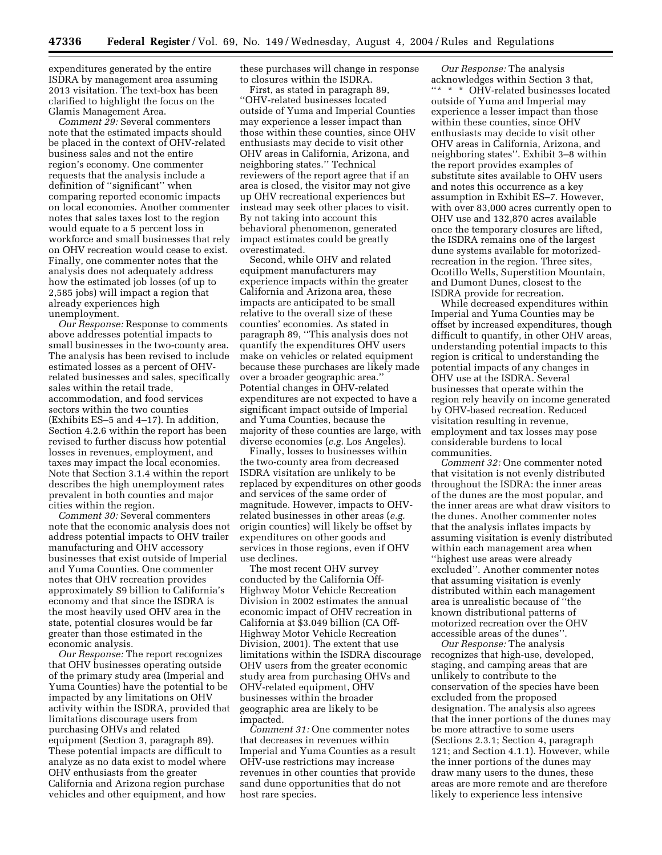expenditures generated by the entire ISDRA by management area assuming 2013 visitation. The text-box has been clarified to highlight the focus on the Glamis Management Area.

*Comment 29:* Several commenters note that the estimated impacts should be placed in the context of OHV-related business sales and not the entire region's economy. One commenter requests that the analysis include a definition of ''significant'' when comparing reported economic impacts on local economies. Another commenter notes that sales taxes lost to the region would equate to a 5 percent loss in workforce and small businesses that rely on OHV recreation would cease to exist. Finally, one commenter notes that the analysis does not adequately address how the estimated job losses (of up to 2,585 jobs) will impact a region that already experiences high unemployment.

*Our Response:* Response to comments above addresses potential impacts to small businesses in the two-county area. The analysis has been revised to include estimated losses as a percent of OHVrelated businesses and sales, specifically sales within the retail trade, accommodation, and food services sectors within the two counties (Exhibits ES–5 and 4–17). In addition, Section 4.2.6 within the report has been revised to further discuss how potential losses in revenues, employment, and taxes may impact the local economies. Note that Section 3.1.4 within the report describes the high unemployment rates prevalent in both counties and major cities within the region.

*Comment 30:* Several commenters note that the economic analysis does not address potential impacts to OHV trailer manufacturing and OHV accessory businesses that exist outside of Imperial and Yuma Counties. One commenter notes that OHV recreation provides approximately \$9 billion to California's economy and that since the ISDRA is the most heavily used OHV area in the state, potential closures would be far greater than those estimated in the economic analysis.

*Our Response:* The report recognizes that OHV businesses operating outside of the primary study area (Imperial and Yuma Counties) have the potential to be impacted by any limitations on OHV activity within the ISDRA, provided that limitations discourage users from purchasing OHVs and related equipment (Section 3, paragraph 89). These potential impacts are difficult to analyze as no data exist to model where OHV enthusiasts from the greater California and Arizona region purchase vehicles and other equipment, and how

these purchases will change in response to closures within the ISDRA.

First, as stated in paragraph 89, ''OHV-related businesses located outside of Yuma and Imperial Counties may experience a lesser impact than those within these counties, since OHV enthusiasts may decide to visit other OHV areas in California, Arizona, and neighboring states.'' Technical reviewers of the report agree that if an area is closed, the visitor may not give up OHV recreational experiences but instead may seek other places to visit. By not taking into account this behavioral phenomenon, generated impact estimates could be greatly overestimated.

Second, while OHV and related equipment manufacturers may experience impacts within the greater California and Arizona area, these impacts are anticipated to be small relative to the overall size of these counties' economies. As stated in paragraph 89, ''This analysis does not quantify the expenditures OHV users make on vehicles or related equipment because these purchases are likely made over a broader geographic area.'' Potential changes in OHV-related expenditures are not expected to have a significant impact outside of Imperial and Yuma Counties, because the majority of these counties are large, with diverse economies (*e.g.* Los Angeles).

Finally, losses to businesses within the two-county area from decreased ISDRA visitation are unlikely to be replaced by expenditures on other goods and services of the same order of magnitude. However, impacts to OHVrelated businesses in other areas (*e.g.* origin counties) will likely be offset by expenditures on other goods and services in those regions, even if OHV use declines.

The most recent OHV survey conducted by the California Off-Highway Motor Vehicle Recreation Division in 2002 estimates the annual economic impact of OHV recreation in California at \$3.049 billion (CA Off-Highway Motor Vehicle Recreation Division, 2001). The extent that use limitations within the ISDRA discourage OHV users from the greater economic study area from purchasing OHVs and OHV-related equipment, OHV businesses within the broader geographic area are likely to be impacted.

*Comment 31:* One commenter notes that decreases in revenues within Imperial and Yuma Counties as a result OHV-use restrictions may increase revenues in other counties that provide sand dune opportunities that do not host rare species.

*Our Response:* The analysis acknowledges within Section 3 that, ''\* \* \* OHV-related businesses located outside of Yuma and Imperial may experience a lesser impact than those within these counties, since OHV enthusiasts may decide to visit other OHV areas in California, Arizona, and neighboring states''. Exhibit 3–8 within the report provides examples of substitute sites available to OHV users and notes this occurrence as a key assumption in Exhibit ES–7. However, with over 83,000 acres currently open to OHV use and 132,870 acres available once the temporary closures are lifted, the ISDRA remains one of the largest dune systems available for motorizedrecreation in the region. Three sites, Ocotillo Wells, Superstition Mountain, and Dumont Dunes, closest to the ISDRA provide for recreation.

While decreased expenditures within Imperial and Yuma Counties may be offset by increased expenditures, though difficult to quantify, in other OHV areas, understanding potential impacts to this region is critical to understanding the potential impacts of any changes in OHV use at the ISDRA. Several businesses that operate within the region rely heavily on income generated by OHV-based recreation. Reduced visitation resulting in revenue, employment and tax losses may pose considerable burdens to local communities.

*Comment 32:* One commenter noted that visitation is not evenly distributed throughout the ISDRA: the inner areas of the dunes are the most popular, and the inner areas are what draw visitors to the dunes. Another commenter notes that the analysis inflates impacts by assuming visitation is evenly distributed within each management area when ''highest use areas were already excluded''. Another commenter notes that assuming visitation is evenly distributed within each management area is unrealistic because of ''the known distributional patterns of motorized recreation over the OHV accessible areas of the dunes''.

*Our Response:* The analysis recognizes that high-use, developed, staging, and camping areas that are unlikely to contribute to the conservation of the species have been excluded from the proposed designation. The analysis also agrees that the inner portions of the dunes may be more attractive to some users (Sections 2.3.1; Section 4, paragraph 121; and Section 4.1.1). However, while the inner portions of the dunes may draw many users to the dunes, these areas are more remote and are therefore likely to experience less intensive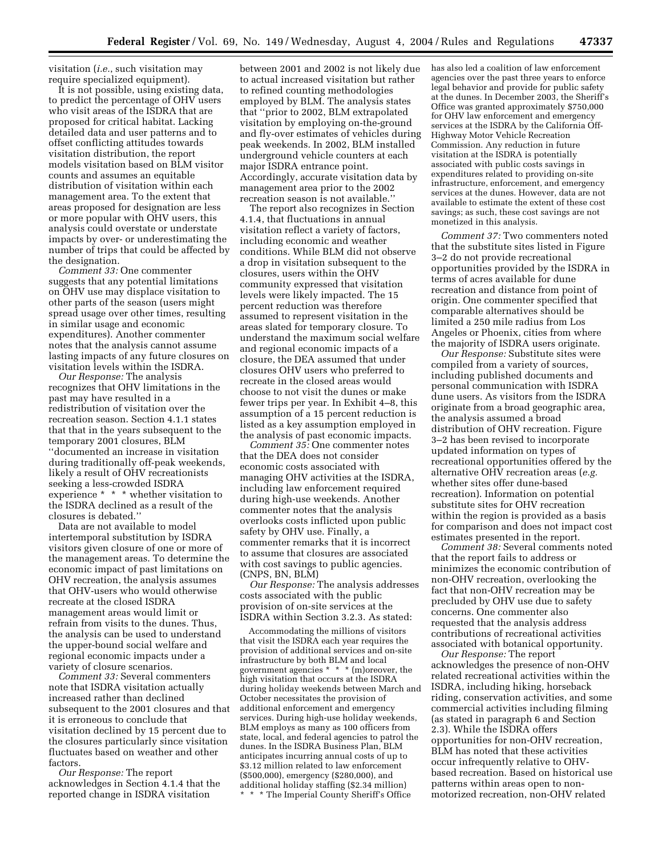visitation (*i.e.*, such visitation may require specialized equipment).

It is not possible, using existing data, to predict the percentage of OHV users who visit areas of the ISDRA that are proposed for critical habitat. Lacking detailed data and user patterns and to offset conflicting attitudes towards visitation distribution, the report models visitation based on BLM visitor counts and assumes an equitable distribution of visitation within each management area. To the extent that areas proposed for designation are less or more popular with OHV users, this analysis could overstate or understate impacts by over- or underestimating the number of trips that could be affected by the designation.

*Comment 33:* One commenter suggests that any potential limitations on OHV use may displace visitation to other parts of the season (users might spread usage over other times, resulting in similar usage and economic expenditures). Another commenter notes that the analysis cannot assume lasting impacts of any future closures on visitation levels within the ISDRA.

*Our Response:* The analysis recognizes that OHV limitations in the past may have resulted in a redistribution of visitation over the recreation season. Section 4.1.1 states that that in the years subsequent to the temporary 2001 closures, BLM ''documented an increase in visitation during traditionally off-peak weekends, likely a result of OHV recreationists seeking a less-crowded ISDRA experience \* \* \* whether visitation to the ISDRA declined as a result of the closures is debated.''

Data are not available to model intertemporal substitution by ISDRA visitors given closure of one or more of the management areas. To determine the economic impact of past limitations on OHV recreation, the analysis assumes that OHV-users who would otherwise recreate at the closed ISDRA management areas would limit or refrain from visits to the dunes. Thus, the analysis can be used to understand the upper-bound social welfare and regional economic impacts under a variety of closure scenarios.

*Comment 33:* Several commenters note that ISDRA visitation actually increased rather than declined subsequent to the 2001 closures and that it is erroneous to conclude that visitation declined by 15 percent due to the closures particularly since visitation fluctuates based on weather and other factors.

*Our Response:* The report acknowledges in Section 4.1.4 that the reported change in ISDRA visitation

between 2001 and 2002 is not likely due to actual increased visitation but rather to refined counting methodologies employed by BLM. The analysis states that ''prior to 2002, BLM extrapolated visitation by employing on-the-ground and fly-over estimates of vehicles during peak weekends. In 2002, BLM installed underground vehicle counters at each major ISDRA entrance point. Accordingly, accurate visitation data by management area prior to the 2002 recreation season is not available.''

The report also recognizes in Section 4.1.4, that fluctuations in annual visitation reflect a variety of factors, including economic and weather conditions. While BLM did not observe a drop in visitation subsequent to the closures, users within the OHV community expressed that visitation levels were likely impacted. The 15 percent reduction was therefore assumed to represent visitation in the areas slated for temporary closure. To understand the maximum social welfare and regional economic impacts of a closure, the DEA assumed that under closures OHV users who preferred to recreate in the closed areas would choose to not visit the dunes or make fewer trips per year. In Exhibit 4–8, this assumption of a 15 percent reduction is listed as a key assumption employed in the analysis of past economic impacts.

*Comment 35:* One commenter notes that the DEA does not consider economic costs associated with managing OHV activities at the ISDRA, including law enforcement required during high-use weekends. Another commenter notes that the analysis overlooks costs inflicted upon public safety by OHV use. Finally, a commenter remarks that it is incorrect to assume that closures are associated with cost savings to public agencies. (CNPS, BN, BLM)

*Our Response:* The analysis addresses costs associated with the public provision of on-site services at the ISDRA within Section 3.2.3. As stated:

Accommodating the millions of visitors that visit the ISDRA each year requires the provision of additional services and on-site infrastructure by both BLM and local government agencies \* \* \* (m)oreover, the high visitation that occurs at the ISDRA during holiday weekends between March and October necessitates the provision of additional enforcement and emergency services. During high-use holiday weekends, BLM employs as many as 100 officers from state, local, and federal agencies to patrol the dunes. In the ISDRA Business Plan, BLM anticipates incurring annual costs of up to \$3.12 million related to law enforcement (\$500,000), emergency (\$280,000), and additional holiday staffing (\$2.34 million) \* The Imperial County Sheriff's Office

has also led a coalition of law enforcement agencies over the past three years to enforce legal behavior and provide for public safety at the dunes. In December 2003, the Sheriff's Office was granted approximately \$750,000 for OHV law enforcement and emergency services at the ISDRA by the California Off-Highway Motor Vehicle Recreation Commission. Any reduction in future visitation at the ISDRA is potentially associated with public costs savings in expenditures related to providing on-site infrastructure, enforcement, and emergency services at the dunes. However, data are not available to estimate the extent of these cost savings; as such, these cost savings are not monetized in this analysis.

*Comment 37:* Two commenters noted that the substitute sites listed in Figure 3–2 do not provide recreational opportunities provided by the ISDRA in terms of acres available for dune recreation and distance from point of origin. One commenter specified that comparable alternatives should be limited a 250 mile radius from Los Angeles or Phoenix, cities from where the majority of ISDRA users originate.

*Our Response:* Substitute sites were compiled from a variety of sources, including published documents and personal communication with ISDRA dune users. As visitors from the ISDRA originate from a broad geographic area, the analysis assumed a broad distribution of OHV recreation. Figure 3–2 has been revised to incorporate updated information on types of recreational opportunities offered by the alternative OHV recreation areas (*e.g.* whether sites offer dune-based recreation). Information on potential substitute sites for OHV recreation within the region is provided as a basis for comparison and does not impact cost estimates presented in the report.

*Comment 38:* Several comments noted that the report fails to address or minimizes the economic contribution of non-OHV recreation, overlooking the fact that non-OHV recreation may be precluded by OHV use due to safety concerns. One commenter also requested that the analysis address contributions of recreational activities associated with botanical opportunity.

*Our Response:* The report acknowledges the presence of non-OHV related recreational activities within the ISDRA, including hiking, horseback riding, conservation activities, and some commercial activities including filming (as stated in paragraph 6 and Section 2.3). While the ISDRA offers opportunities for non-OHV recreation, BLM has noted that these activities occur infrequently relative to OHVbased recreation. Based on historical use patterns within areas open to nonmotorized recreation, non-OHV related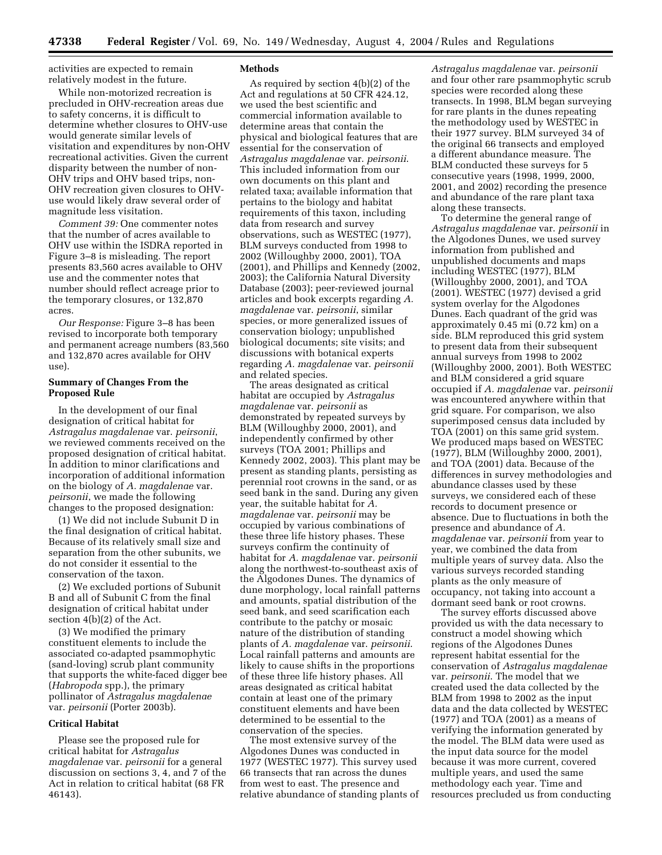activities are expected to remain relatively modest in the future.

While non-motorized recreation is precluded in OHV-recreation areas due to safety concerns, it is difficult to determine whether closures to OHV-use would generate similar levels of visitation and expenditures by non-OHV recreational activities. Given the current disparity between the number of non-OHV trips and OHV based trips, non-OHV recreation given closures to OHVuse would likely draw several order of magnitude less visitation.

*Comment 39:* One commenter notes that the number of acres available to OHV use within the ISDRA reported in Figure 3–8 is misleading. The report presents 83,560 acres available to OHV use and the commenter notes that number should reflect acreage prior to the temporary closures, or 132,870 acres.

*Our Response:* Figure 3–8 has been revised to incorporate both temporary and permanent acreage numbers (83,560 and 132,870 acres available for OHV use).

#### **Summary of Changes From the Proposed Rule**

In the development of our final designation of critical habitat for *Astragalus magdalenae* var. *peirsonii*, we reviewed comments received on the proposed designation of critical habitat. In addition to minor clarifications and incorporation of additional information on the biology of *A. magdalenae* var. *peirsonii*, we made the following changes to the proposed designation:

(1) We did not include Subunit D in the final designation of critical habitat. Because of its relatively small size and separation from the other subunits, we do not consider it essential to the conservation of the taxon.

(2) We excluded portions of Subunit B and all of Subunit C from the final designation of critical habitat under section 4(b)(2) of the Act.

(3) We modified the primary constituent elements to include the associated co-adapted psammophytic (sand-loving) scrub plant community that supports the white-faced digger bee (*Habropoda* spp.), the primary pollinator of *Astragalus magdalenae* var. *peirsonii* (Porter 2003b).

#### **Critical Habitat**

Please see the proposed rule for critical habitat for *Astragalus magdalenae* var. *peirsonii* for a general discussion on sections 3, 4, and 7 of the Act in relation to critical habitat (68 FR 46143).

#### **Methods**

As required by section 4(b)(2) of the Act and regulations at 50 CFR 424.12, we used the best scientific and commercial information available to determine areas that contain the physical and biological features that are essential for the conservation of *Astragalus magdalenae* var. *peirsonii*. This included information from our own documents on this plant and related taxa; available information that pertains to the biology and habitat requirements of this taxon, including data from research and survey observations, such as WESTEC (1977), BLM surveys conducted from 1998 to 2002 (Willoughby 2000, 2001), TOA (2001), and Phillips and Kennedy (2002, 2003); the California Natural Diversity Database (2003); peer-reviewed journal articles and book excerpts regarding *A. magdalenae* var. *peirsonii*, similar species, or more generalized issues of conservation biology; unpublished biological documents; site visits; and discussions with botanical experts regarding *A. magdalenae* var. *peirsonii* and related species.

The areas designated as critical habitat are occupied by *Astragalus magdalenae* var. *peirsonii* as demonstrated by repeated surveys by BLM (Willoughby 2000, 2001), and independently confirmed by other surveys (TOA 2001; Phillips and Kennedy 2002, 2003). This plant may be present as standing plants, persisting as perennial root crowns in the sand, or as seed bank in the sand. During any given year, the suitable habitat for *A. magdalenae* var. *peirsonii* may be occupied by various combinations of these three life history phases. These surveys confirm the continuity of habitat for *A. magdalenae* var. *peirsonii* along the northwest-to-southeast axis of the Algodones Dunes. The dynamics of dune morphology, local rainfall patterns and amounts, spatial distribution of the seed bank, and seed scarification each contribute to the patchy or mosaic nature of the distribution of standing plants of *A. magdalenae* var. *peirsonii*. Local rainfall patterns and amounts are likely to cause shifts in the proportions of these three life history phases. All areas designated as critical habitat contain at least one of the primary constituent elements and have been determined to be essential to the conservation of the species.

The most extensive survey of the Algodones Dunes was conducted in 1977 (WESTEC 1977). This survey used 66 transects that ran across the dunes from west to east. The presence and relative abundance of standing plants of

*Astragalus magdalenae* var. *peirsonii* and four other rare psammophytic scrub species were recorded along these transects. In 1998, BLM began surveying for rare plants in the dunes repeating the methodology used by WESTEC in their 1977 survey. BLM surveyed 34 of the original 66 transects and employed a different abundance measure. The BLM conducted these surveys for 5 consecutive years (1998, 1999, 2000, 2001, and 2002) recording the presence and abundance of the rare plant taxa along these transects.

To determine the general range of *Astragalus magdalenae* var. *peirsonii* in the Algodones Dunes, we used survey information from published and unpublished documents and maps including WESTEC (1977), BLM (Willoughby 2000, 2001), and TOA (2001). WESTEC (1977) devised a grid system overlay for the Algodones Dunes. Each quadrant of the grid was approximately 0.45 mi (0.72 km) on a side. BLM reproduced this grid system to present data from their subsequent annual surveys from 1998 to 2002 (Willoughby 2000, 2001). Both WESTEC and BLM considered a grid square occupied if *A. magdalenae* var. *peirsonii* was encountered anywhere within that grid square. For comparison, we also superimposed census data included by TOA (2001) on this same grid system. We produced maps based on WESTEC (1977), BLM (Willoughby 2000, 2001), and TOA (2001) data. Because of the differences in survey methodologies and abundance classes used by these surveys, we considered each of these records to document presence or absence. Due to fluctuations in both the presence and abundance of *A. magdalenae* var. *peirsonii* from year to year, we combined the data from multiple years of survey data. Also the various surveys recorded standing plants as the only measure of occupancy, not taking into account a dormant seed bank or root crowns.

The survey efforts discussed above provided us with the data necessary to construct a model showing which regions of the Algodones Dunes represent habitat essential for the conservation of *Astragalus magdalenae* var. *peirsonii*. The model that we created used the data collected by the BLM from 1998 to 2002 as the input data and the data collected by WESTEC (1977) and TOA (2001) as a means of verifying the information generated by the model. The BLM data were used as the input data source for the model because it was more current, covered multiple years, and used the same methodology each year. Time and resources precluded us from conducting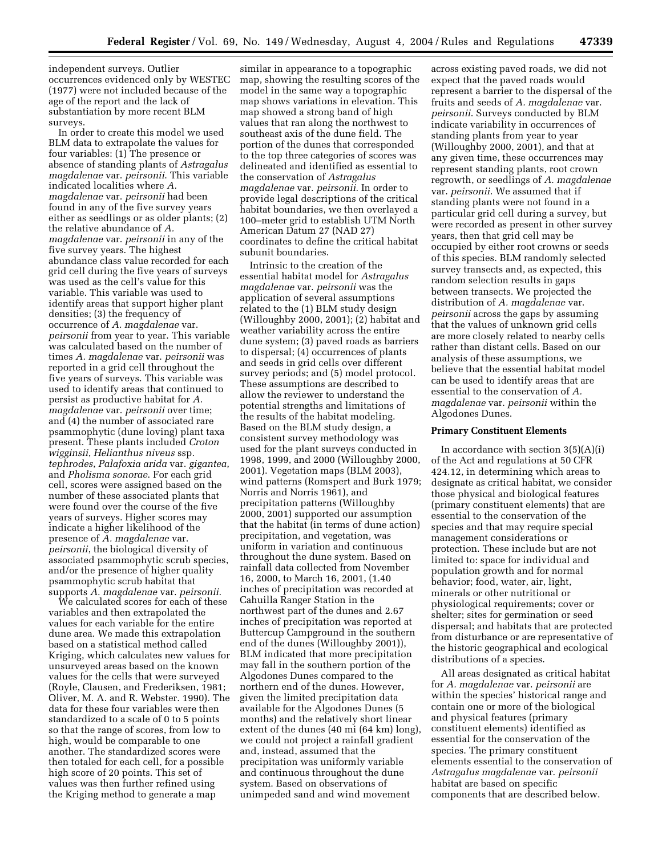independent surveys. Outlier occurrences evidenced only by WESTEC (1977) were not included because of the age of the report and the lack of substantiation by more recent BLM surveys.

In order to create this model we used BLM data to extrapolate the values for four variables: (1) The presence or absence of standing plants of *Astragalus magdalenae* var. *peirsonii*. This variable indicated localities where *A. magdalenae* var. *peirsonii* had been found in any of the five survey years either as seedlings or as older plants; (2) the relative abundance of *A. magdalenae* var. *peirsonii* in any of the five survey years. The highest abundance class value recorded for each grid cell during the five years of surveys was used as the cell's value for this variable. This variable was used to identify areas that support higher plant densities; (3) the frequency of occurrence of *A. magdalenae* var. *peirsonii* from year to year. This variable was calculated based on the number of times *A. magdalenae* var. *peirsonii* was reported in a grid cell throughout the five years of surveys. This variable was used to identify areas that continued to persist as productive habitat for *A. magdalenae* var. *peirsonii* over time; and (4) the number of associated rare psammophytic (dune loving) plant taxa present. These plants included *Croton wigginsii*, *Helianthus niveus* ssp. *tephrodes*, *Palafoxia arida* var. *gigantea*, and *Pholisma sonorae*. For each grid cell, scores were assigned based on the number of these associated plants that were found over the course of the five years of surveys. Higher scores may indicate a higher likelihood of the presence of *A. magdalenae* var. *peirsonii*, the biological diversity of associated psammophytic scrub species, and/or the presence of higher quality psammophytic scrub habitat that supports *A. magdalenae* var. *peirsonii*.

We calculated scores for each of these variables and then extrapolated the values for each variable for the entire dune area. We made this extrapolation based on a statistical method called Kriging, which calculates new values for unsurveyed areas based on the known values for the cells that were surveyed (Royle, Clausen, and Frederiksen, 1981; Oliver, M. A. and R. Webster. 1990). The data for these four variables were then standardized to a scale of 0 to 5 points so that the range of scores, from low to high, would be comparable to one another. The standardized scores were then totaled for each cell, for a possible high score of 20 points. This set of values was then further refined using the Kriging method to generate a map

similar in appearance to a topographic map, showing the resulting scores of the model in the same way a topographic map shows variations in elevation. This map showed a strong band of high values that ran along the northwest to southeast axis of the dune field. The portion of the dunes that corresponded to the top three categories of scores was delineated and identified as essential to the conservation of *Astragalus magdalenae* var. *peirsonii*. In order to provide legal descriptions of the critical habitat boundaries, we then overlayed a 100–meter grid to establish UTM North American Datum 27 (NAD 27) coordinates to define the critical habitat subunit boundaries.

Intrinsic to the creation of the essential habitat model for *Astragalus magdalenae* var. *peirsonii* was the application of several assumptions related to the (1) BLM study design (Willoughby 2000, 2001); (2) habitat and weather variability across the entire dune system; (3) paved roads as barriers to dispersal; (4) occurrences of plants and seeds in grid cells over different survey periods; and (5) model protocol. These assumptions are described to allow the reviewer to understand the potential strengths and limitations of the results of the habitat modeling. Based on the BLM study design, a consistent survey methodology was used for the plant surveys conducted in 1998, 1999, and 2000 (Willoughby 2000, 2001). Vegetation maps (BLM 2003), wind patterns (Romspert and Burk 1979; Norris and Norris 1961), and precipitation patterns (Willoughby 2000, 2001) supported our assumption that the habitat (in terms of dune action) precipitation, and vegetation, was uniform in variation and continuous throughout the dune system. Based on rainfall data collected from November 16, 2000, to March 16, 2001, (1.40 inches of precipitation was recorded at Cahuilla Ranger Station in the northwest part of the dunes and 2.67 inches of precipitation was reported at Buttercup Campground in the southern end of the dunes (Willoughby 2001)), BLM indicated that more precipitation may fall in the southern portion of the Algodones Dunes compared to the northern end of the dunes. However, given the limited precipitation data available for the Algodones Dunes (5 months) and the relatively short linear extent of the dunes (40 mi (64 km) long), we could not project a rainfall gradient and, instead, assumed that the precipitation was uniformly variable and continuous throughout the dune system. Based on observations of unimpeded sand and wind movement

across existing paved roads, we did not expect that the paved roads would represent a barrier to the dispersal of the fruits and seeds of *A. magdalenae* var. *peirsonii*. Surveys conducted by BLM indicate variability in occurrences of standing plants from year to year (Willoughby 2000, 2001), and that at any given time, these occurrences may represent standing plants, root crown regrowth, or seedlings of *A. magdalenae* var. *peirsonii*. We assumed that if standing plants were not found in a particular grid cell during a survey, but were recorded as present in other survey years, then that grid cell may be occupied by either root crowns or seeds of this species. BLM randomly selected survey transects and, as expected, this random selection results in gaps between transects. We projected the distribution of *A. magdalenae* var. *peirsonii* across the gaps by assuming that the values of unknown grid cells are more closely related to nearby cells rather than distant cells. Based on our analysis of these assumptions, we believe that the essential habitat model can be used to identify areas that are essential to the conservation of *A. magdalenae* var. *peirsonii* within the Algodones Dunes.

#### **Primary Constituent Elements**

In accordance with section  $3(5)(A)(i)$ of the Act and regulations at 50 CFR 424.12, in determining which areas to designate as critical habitat, we consider those physical and biological features (primary constituent elements) that are essential to the conservation of the species and that may require special management considerations or protection. These include but are not limited to: space for individual and population growth and for normal behavior; food, water, air, light, minerals or other nutritional or physiological requirements; cover or shelter; sites for germination or seed dispersal; and habitats that are protected from disturbance or are representative of the historic geographical and ecological distributions of a species.

All areas designated as critical habitat for *A. magdalenae* var. *peirsonii* are within the species' historical range and contain one or more of the biological and physical features (primary constituent elements) identified as essential for the conservation of the species. The primary constituent elements essential to the conservation of *Astragalus magdalenae* var. *peirsonii* habitat are based on specific components that are described below.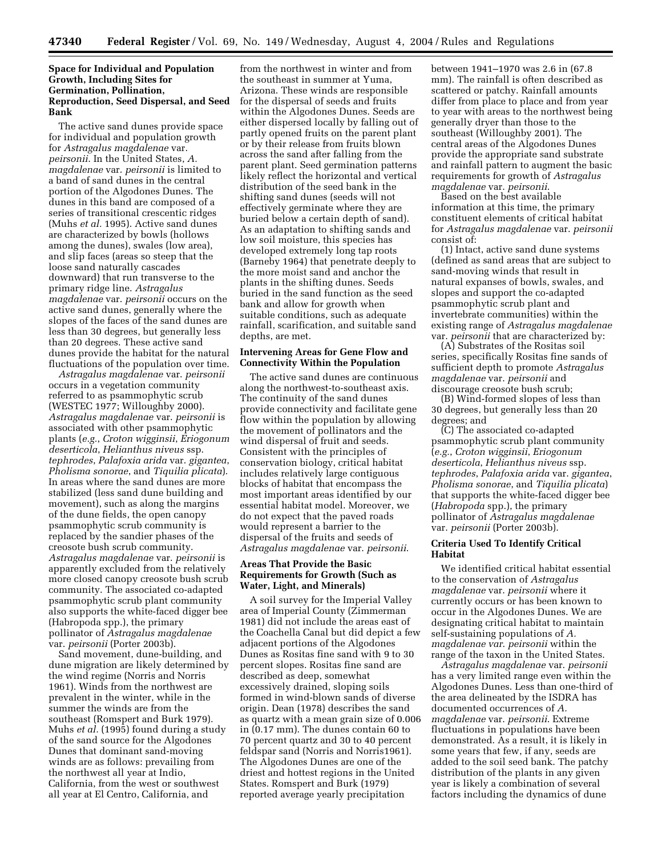#### **Space for Individual and Population Growth, Including Sites for Germination, Pollination, Reproduction, Seed Dispersal, and Seed Bank**

The active sand dunes provide space for individual and population growth for *Astragalus magdalenae* var. *peirsonii*. In the United States, *A. magdalenae* var. *peirsonii* is limited to a band of sand dunes in the central portion of the Algodones Dunes. The dunes in this band are composed of a series of transitional crescentic ridges (Muhs *et al.* 1995). Active sand dunes are characterized by bowls (hollows among the dunes), swales (low area), and slip faces (areas so steep that the loose sand naturally cascades downward) that run transverse to the primary ridge line. *Astragalus magdalenae* var. *peirsonii* occurs on the active sand dunes, generally where the slopes of the faces of the sand dunes are less than 30 degrees, but generally less than 20 degrees. These active sand dunes provide the habitat for the natural fluctuations of the population over time.

*Astragalus magdalenae* var. *peirsonii* occurs in a vegetation community referred to as psammophytic scrub (WESTEC 1977; Willoughby 2000). *Astragalus magdalenae* var. *peirsonii* is associated with other psammophytic plants (*e.g.*, *Croton wigginsii*, *Eriogonum deserticola*, *Helianthus niveus* ssp. *tephrodes*, *Palafoxia arida* var. *gigantea*, *Pholisma sonorae*, and *Tiquilia plicata*). In areas where the sand dunes are more stabilized (less sand dune building and movement), such as along the margins of the dune fields, the open canopy psammophytic scrub community is replaced by the sandier phases of the creosote bush scrub community. *Astragalus magdalenae* var. *peirsonii* is apparently excluded from the relatively more closed canopy creosote bush scrub community. The associated co-adapted psammophytic scrub plant community also supports the white-faced digger bee (Habropoda spp.), the primary pollinator of *Astragalus magdalenae* var. *peirsonii* (Porter 2003b).

Sand movement, dune-building, and dune migration are likely determined by the wind regime (Norris and Norris 1961). Winds from the northwest are prevalent in the winter, while in the summer the winds are from the southeast (Romspert and Burk 1979). Muhs *et al.* (1995) found during a study of the sand source for the Algodones Dunes that dominant sand-moving winds are as follows: prevailing from the northwest all year at Indio, California, from the west or southwest all year at El Centro, California, and

from the northwest in winter and from the southeast in summer at Yuma, Arizona. These winds are responsible for the dispersal of seeds and fruits within the Algodones Dunes. Seeds are either dispersed locally by falling out of partly opened fruits on the parent plant or by their release from fruits blown across the sand after falling from the parent plant. Seed germination patterns likely reflect the horizontal and vertical distribution of the seed bank in the shifting sand dunes (seeds will not effectively germinate where they are buried below a certain depth of sand). As an adaptation to shifting sands and low soil moisture, this species has developed extremely long tap roots (Barneby 1964) that penetrate deeply to the more moist sand and anchor the plants in the shifting dunes. Seeds buried in the sand function as the seed bank and allow for growth when suitable conditions, such as adequate rainfall, scarification, and suitable sand depths, are met.

#### **Intervening Areas for Gene Flow and Connectivity Within the Population**

The active sand dunes are continuous along the northwest-to-southeast axis. The continuity of the sand dunes provide connectivity and facilitate gene flow within the population by allowing the movement of pollinators and the wind dispersal of fruit and seeds. Consistent with the principles of conservation biology, critical habitat includes relatively large contiguous blocks of habitat that encompass the most important areas identified by our essential habitat model. Moreover, we do not expect that the paved roads would represent a barrier to the dispersal of the fruits and seeds of *Astragalus magdalenae* var. *peirsonii*.

#### **Areas That Provide the Basic Requirements for Growth (Such as Water, Light, and Minerals)**

A soil survey for the Imperial Valley area of Imperial County (Zimmerman 1981) did not include the areas east of the Coachella Canal but did depict a few adjacent portions of the Algodones Dunes as Rositas fine sand with 9 to 30 percent slopes. Rositas fine sand are described as deep, somewhat excessively drained, sloping soils formed in wind-blown sands of diverse origin. Dean (1978) describes the sand as quartz with a mean grain size of 0.006 in (0.17 mm). The dunes contain 60 to 70 percent quartz and 30 to 40 percent feldspar sand (Norris and Norris1961). The Algodones Dunes are one of the driest and hottest regions in the United States. Romspert and Burk (1979) reported average yearly precipitation

between 1941–1970 was 2.6 in (67.8 mm). The rainfall is often described as scattered or patchy. Rainfall amounts differ from place to place and from year to year with areas to the northwest being generally dryer than those to the southeast (Willoughby 2001). The central areas of the Algodones Dunes provide the appropriate sand substrate and rainfall pattern to augment the basic requirements for growth of *Astragalus magdalenae* var. *peirsonii*.

Based on the best available information at this time, the primary constituent elements of critical habitat for *Astragalus magdalenae* var. *peirsonii* consist of:

(1) Intact, active sand dune systems (defined as sand areas that are subject to sand-moving winds that result in natural expanses of bowls, swales, and slopes and support the co-adapted psammophytic scrub plant and invertebrate communities) within the existing range of *Astragalus magdalenae* var. *peirsonii* that are characterized by:

(A) Substrates of the Rositas soil series, specifically Rositas fine sands of sufficient depth to promote *Astragalus magdalenae* var. *peirsonii* and discourage creosote bush scrub;

(B) Wind-formed slopes of less than 30 degrees, but generally less than 20 degrees; and

(C) The associated co-adapted psammophytic scrub plant community (*e.g.*, *Croton wigginsii*, *Eriogonum deserticola*, *Helianthus niveus* ssp. *tephrodes*, *Palafoxia arida* var. *gigantea*, *Pholisma sonorae*, and *Tiquilia plicata*) that supports the white-faced digger bee (*Habropoda* spp.), the primary pollinator of *Astragalus magdalenae* var. *peirsonii* (Porter 2003b).

#### **Criteria Used To Identify Critical Habitat**

We identified critical habitat essential to the conservation of *Astragalus magdalenae* var. *peirsonii* where it currently occurs or has been known to occur in the Algodones Dunes. We are designating critical habitat to maintain self-sustaining populations of *A. magdalenae var*. *peirsonii* within the range of the taxon in the United States.

*Astragalus magdalenae* var. *peirsonii* has a very limited range even within the Algodones Dunes. Less than one-third of the area delineated by the ISDRA has documented occurrences of *A. magdalenae* var. *peirsonii*. Extreme fluctuations in populations have been demonstrated. As a result, it is likely in some years that few, if any, seeds are added to the soil seed bank. The patchy distribution of the plants in any given year is likely a combination of several factors including the dynamics of dune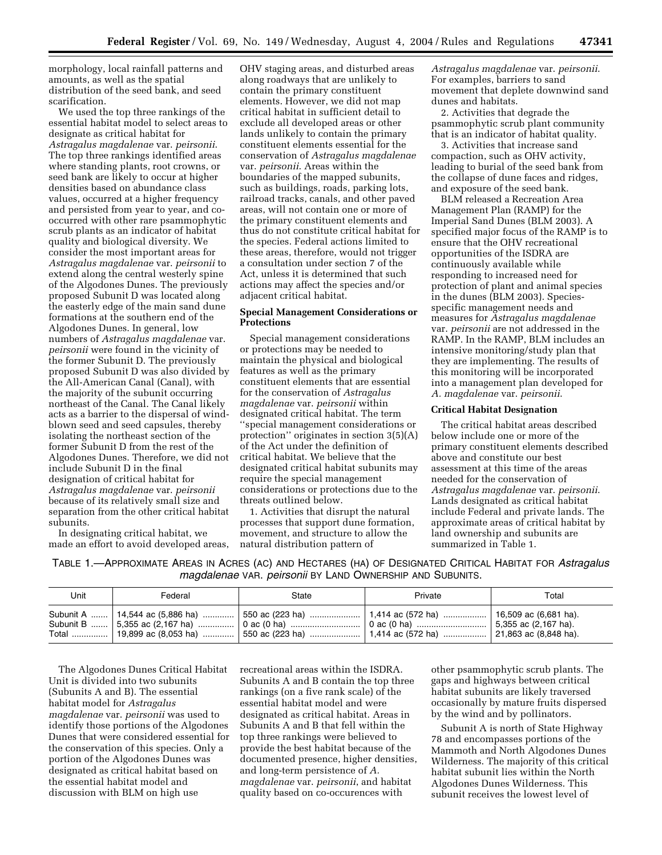morphology, local rainfall patterns and amounts, as well as the spatial distribution of the seed bank, and seed scarification.

We used the top three rankings of the essential habitat model to select areas to designate as critical habitat for *Astragalus magdalenae* var. *peirsonii*. The top three rankings identified areas where standing plants, root crowns, or seed bank are likely to occur at higher densities based on abundance class values, occurred at a higher frequency and persisted from year to year, and cooccurred with other rare psammophytic scrub plants as an indicator of habitat quality and biological diversity. We consider the most important areas for *Astragalus magdalenae* var. *peirsonii* to extend along the central westerly spine of the Algodones Dunes. The previously proposed Subunit D was located along the easterly edge of the main sand dune formations at the southern end of the Algodones Dunes. In general, low numbers of *Astragalus magdalenae* var. *peirsonii* were found in the vicinity of the former Subunit D. The previously proposed Subunit D was also divided by the All-American Canal (Canal), with the majority of the subunit occurring northeast of the Canal. The Canal likely acts as a barrier to the dispersal of windblown seed and seed capsules, thereby isolating the northeast section of the former Subunit D from the rest of the Algodones Dunes. Therefore, we did not include Subunit D in the final designation of critical habitat for *Astragalus magdalenae* var. *peirsonii* because of its relatively small size and separation from the other critical habitat subunits.

In designating critical habitat, we made an effort to avoid developed areas,

OHV staging areas, and disturbed areas along roadways that are unlikely to contain the primary constituent elements. However, we did not map critical habitat in sufficient detail to exclude all developed areas or other lands unlikely to contain the primary constituent elements essential for the conservation of *Astragalus magdalenae* var. *peirsonii*. Areas within the boundaries of the mapped subunits, such as buildings, roads, parking lots, railroad tracks, canals, and other paved areas, will not contain one or more of the primary constituent elements and thus do not constitute critical habitat for the species. Federal actions limited to these areas, therefore, would not trigger a consultation under section 7 of the Act, unless it is determined that such actions may affect the species and/or adjacent critical habitat.

#### **Special Management Considerations or Protections**

Special management considerations or protections may be needed to maintain the physical and biological features as well as the primary constituent elements that are essential for the conservation of *Astragalus magdalenae* var. *peirsonii* within designated critical habitat. The term ''special management considerations or protection'' originates in section 3(5)(A) of the Act under the definition of critical habitat. We believe that the designated critical habitat subunits may require the special management considerations or protections due to the threats outlined below.

1. Activities that disrupt the natural processes that support dune formation, movement, and structure to allow the natural distribution pattern of

*Astragalus magdalenae* var. *peirsonii*. For examples, barriers to sand movement that deplete downwind sand dunes and habitats.

2. Activities that degrade the psammophytic scrub plant community that is an indicator of habitat quality.

3. Activities that increase sand compaction, such as OHV activity, leading to burial of the seed bank from the collapse of dune faces and ridges, and exposure of the seed bank.

BLM released a Recreation Area Management Plan (RAMP) for the Imperial Sand Dunes (BLM 2003). A specified major focus of the RAMP is to ensure that the OHV recreational opportunities of the ISDRA are continuously available while responding to increased need for protection of plant and animal species in the dunes (BLM 2003). Speciesspecific management needs and measures for *Astragalus magdalenae* var. *peirsonii* are not addressed in the RAMP. In the RAMP, BLM includes an intensive monitoring/study plan that they are implementing. The results of this monitoring will be incorporated into a management plan developed for *A. magdalenae* var. *peirsonii*.

#### **Critical Habitat Designation**

The critical habitat areas described below include one or more of the primary constituent elements described above and constitute our best assessment at this time of the areas needed for the conservation of *Astragalus magdalenae* var. *peirsonii*. Lands designated as critical habitat include Federal and private lands. The approximate areas of critical habitat by land ownership and subunits are summarized in Table 1.

TABLE 1.—APPROXIMATE AREAS IN ACRES (AC) AND HECTARES (HA) OF DESIGNATED CRITICAL HABITAT FOR *Astragalus magdalenae* VAR. *peirsonii* BY LAND OWNERSHIP AND SUBUNITS.

| Unit | Federal | State                                                                                                                                                                                                               | Private | Total |
|------|---------|---------------------------------------------------------------------------------------------------------------------------------------------------------------------------------------------------------------------|---------|-------|
|      |         | Subunit A ……. 14,544 ac (5,886 ha) …………. 550 ac (223 ha) …………………. 1,414 ac (572 ha) ………………. 16,509 ac (6,681 ha).<br>Total    19,899 ac (8,053 ha)    550 ac (223 ha)    1,414 ac (572 ha)    21,863 ac (8,848 ha). |         |       |

The Algodones Dunes Critical Habitat Unit is divided into two subunits (Subunits A and B). The essential habitat model for *Astragalus magdalenae* var. *peirsonii* was used to identify those portions of the Algodones Dunes that were considered essential for the conservation of this species. Only a portion of the Algodones Dunes was designated as critical habitat based on the essential habitat model and discussion with BLM on high use

recreational areas within the ISDRA. Subunits A and B contain the top three rankings (on a five rank scale) of the essential habitat model and were designated as critical habitat. Areas in Subunits A and B that fell within the top three rankings were believed to provide the best habitat because of the documented presence, higher densities, and long-term persistence of *A. magdalenae* var. *peirsonii*, and habitat quality based on co-occurences with

other psammophytic scrub plants. The gaps and highways between critical habitat subunits are likely traversed occasionally by mature fruits dispersed by the wind and by pollinators.

Subunit A is north of State Highway 78 and encompasses portions of the Mammoth and North Algodones Dunes Wilderness. The majority of this critical habitat subunit lies within the North Algodones Dunes Wilderness. This subunit receives the lowest level of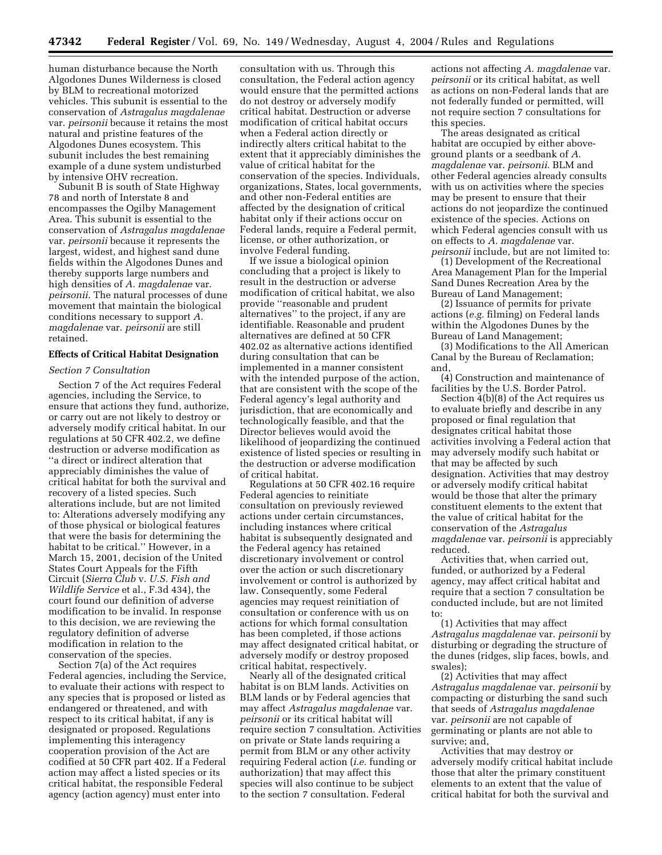human disturbance because the North Algodones Dunes Wilderness is closed by BLM to recreational motorized vehicles. This subunit is essential to the conservation of *Astragalus magdalenae* var. *peirsonii* because it retains the most natural and pristine features of the Algodones Dunes ecosystem. This subunit includes the best remaining example of a dune system undisturbed by intensive OHV recreation.

Subunit B is south of State Highway 78 and north of Interstate 8 and encompasses the Ogilby Management Area. This subunit is essential to the conservation of *Astragalus magdalenae* var. *peirsonii* because it represents the largest, widest, and highest sand dune fields within the Algodones Dunes and thereby supports large numbers and high densities of *A. magdalenae* var. *peirsonii*. The natural processes of dune movement that maintain the biological conditions necessary to support *A. magdalenae* var. *peirsonii* are still retained.

#### **Effects of Critical Habitat Designation**

#### *Section 7 Consultation*

Section 7 of the Act requires Federal agencies, including the Service, to ensure that actions they fund, authorize, or carry out are not likely to destroy or adversely modify critical habitat. In our regulations at 50 CFR 402.2, we define destruction or adverse modification as ''a direct or indirect alteration that appreciably diminishes the value of critical habitat for both the survival and recovery of a listed species. Such alterations include, but are not limited to: Alterations adversely modifying any of those physical or biological features that were the basis for determining the habitat to be critical.'' However, in a March 15, 2001, decision of the United States Court Appeals for the Fifth Circuit (*Sierra Club* v. *U.S. Fish and Wildlife Service* et al., F.3d 434), the court found our definition of adverse modification to be invalid. In response to this decision, we are reviewing the regulatory definition of adverse modification in relation to the conservation of the species.

Section 7(a) of the Act requires Federal agencies, including the Service, to evaluate their actions with respect to any species that is proposed or listed as endangered or threatened, and with respect to its critical habitat, if any is designated or proposed. Regulations implementing this interagency cooperation provision of the Act are codified at 50 CFR part 402. If a Federal action may affect a listed species or its critical habitat, the responsible Federal agency (action agency) must enter into

consultation with us. Through this consultation, the Federal action agency would ensure that the permitted actions do not destroy or adversely modify critical habitat. Destruction or adverse modification of critical habitat occurs when a Federal action directly or indirectly alters critical habitat to the extent that it appreciably diminishes the value of critical habitat for the conservation of the species. Individuals, organizations, States, local governments, and other non-Federal entities are affected by the designation of critical habitat only if their actions occur on Federal lands, require a Federal permit, license, or other authorization, or involve Federal funding.

If we issue a biological opinion concluding that a project is likely to result in the destruction or adverse modification of critical habitat, we also provide ''reasonable and prudent alternatives'' to the project, if any are identifiable. Reasonable and prudent alternatives are defined at 50 CFR 402.02 as alternative actions identified during consultation that can be implemented in a manner consistent with the intended purpose of the action, that are consistent with the scope of the Federal agency's legal authority and jurisdiction, that are economically and technologically feasible, and that the Director believes would avoid the likelihood of jeopardizing the continued existence of listed species or resulting in the destruction or adverse modification of critical habitat.

Regulations at 50 CFR 402.16 require Federal agencies to reinitiate consultation on previously reviewed actions under certain circumstances, including instances where critical habitat is subsequently designated and the Federal agency has retained discretionary involvement or control over the action or such discretionary involvement or control is authorized by law. Consequently, some Federal agencies may request reinitiation of consultation or conference with us on actions for which formal consultation has been completed, if those actions may affect designated critical habitat, or adversely modify or destroy proposed critical habitat, respectively.

Nearly all of the designated critical habitat is on BLM lands. Activities on BLM lands or by Federal agencies that may affect *Astragalus magdalenae* var. *peirsonii* or its critical habitat will require section 7 consultation. Activities on private or State lands requiring a permit from BLM or any other activity requiring Federal action (*i.e.* funding or authorization) that may affect this species will also continue to be subject to the section 7 consultation. Federal

actions not affecting *A. magdalenae* var. *peirsonii* or its critical habitat, as well as actions on non-Federal lands that are not federally funded or permitted, will not require section 7 consultations for this species.

The areas designated as critical habitat are occupied by either aboveground plants or a seedbank of *A. magdalenae* var. *peirsonii*. BLM and other Federal agencies already consults with us on activities where the species may be present to ensure that their actions do not jeopardize the continued existence of the species. Actions on which Federal agencies consult with us on effects to *A. magdalenae* var. *peirsonii* include, but are not limited to:

(1) Development of the Recreational Area Management Plan for the Imperial Sand Dunes Recreation Area by the Bureau of Land Management;

(2) Issuance of permits for private actions (*e.g.* filming) on Federal lands within the Algodones Dunes by the Bureau of Land Management;

(3) Modifications to the All American Canal by the Bureau of Reclamation; and,

(4) Construction and maintenance of facilities by the U.S. Border Patrol.

Section 4(b)(8) of the Act requires us to evaluate briefly and describe in any proposed or final regulation that designates critical habitat those activities involving a Federal action that may adversely modify such habitat or that may be affected by such designation. Activities that may destroy or adversely modify critical habitat would be those that alter the primary constituent elements to the extent that the value of critical habitat for the conservation of the *Astragalus magdalenae* var. *peirsonii* is appreciably reduced.

Activities that, when carried out, funded, or authorized by a Federal agency, may affect critical habitat and require that a section 7 consultation be conducted include, but are not limited to:

(1) Activities that may affect *Astragalus magdalenae* var. *peirsonii* by disturbing or degrading the structure of the dunes (ridges, slip faces, bowls, and swales);

(2) Activities that may affect *Astragalus magdalenae* var. *peirsonii* by compacting or disturbing the sand such that seeds of *Astragalus magdalenae* var. *peirsonii* are not capable of germinating or plants are not able to survive; and,

Activities that may destroy or adversely modify critical habitat include those that alter the primary constituent elements to an extent that the value of critical habitat for both the survival and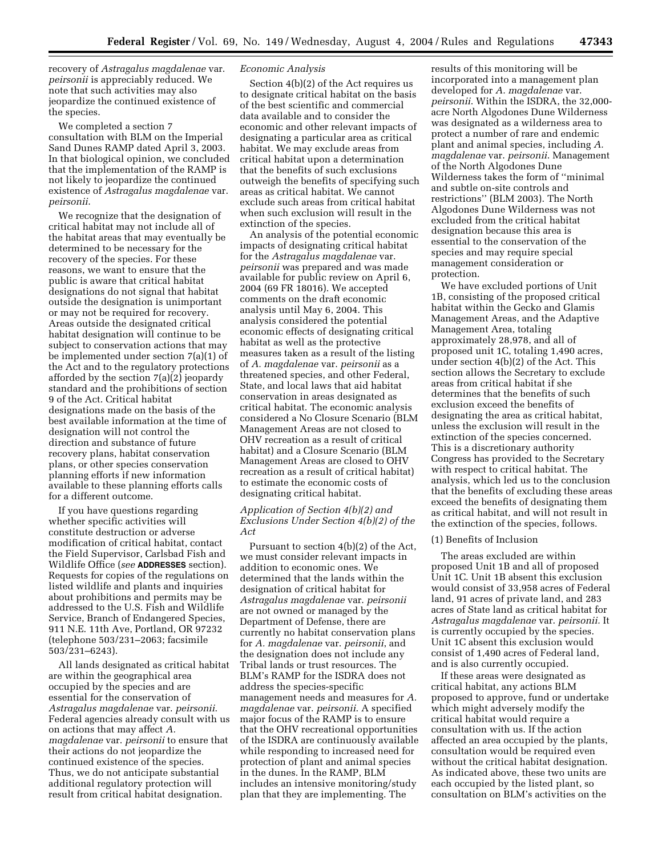recovery of *Astragalus magdalenae* var. *peirsonii* is appreciably reduced. We note that such activities may also jeopardize the continued existence of the species.

We completed a section 7 consultation with BLM on the Imperial Sand Dunes RAMP dated April 3, 2003. In that biological opinion, we concluded that the implementation of the RAMP is not likely to jeopardize the continued existence of *Astragalus magdalenae* var. *peirsonii*.

We recognize that the designation of critical habitat may not include all of the habitat areas that may eventually be determined to be necessary for the recovery of the species. For these reasons, we want to ensure that the public is aware that critical habitat designations do not signal that habitat outside the designation is unimportant or may not be required for recovery. Areas outside the designated critical habitat designation will continue to be subject to conservation actions that may be implemented under section 7(a)(1) of the Act and to the regulatory protections afforded by the section 7(a)(2) jeopardy standard and the prohibitions of section 9 of the Act. Critical habitat designations made on the basis of the best available information at the time of designation will not control the direction and substance of future recovery plans, habitat conservation plans, or other species conservation planning efforts if new information available to these planning efforts calls for a different outcome.

If you have questions regarding whether specific activities will constitute destruction or adverse modification of critical habitat, contact the Field Supervisor, Carlsbad Fish and Wildlife Office (*see* **ADDRESSES** section). Requests for copies of the regulations on listed wildlife and plants and inquiries about prohibitions and permits may be addressed to the U.S. Fish and Wildlife Service, Branch of Endangered Species, 911 N.E. 11th Ave, Portland, OR 97232 (telephone 503/231–2063; facsimile 503/231–6243).

All lands designated as critical habitat are within the geographical area occupied by the species and are essential for the conservation of *Astragalus magdalenae* var. *peirsonii*. Federal agencies already consult with us on actions that may affect *A. magdalenae* var. *peirsonii* to ensure that their actions do not jeopardize the continued existence of the species. Thus, we do not anticipate substantial additional regulatory protection will result from critical habitat designation.

#### *Economic Analysis*

Section 4(b)(2) of the Act requires us to designate critical habitat on the basis of the best scientific and commercial data available and to consider the economic and other relevant impacts of designating a particular area as critical habitat. We may exclude areas from critical habitat upon a determination that the benefits of such exclusions outweigh the benefits of specifying such areas as critical habitat. We cannot exclude such areas from critical habitat when such exclusion will result in the extinction of the species.

An analysis of the potential economic impacts of designating critical habitat for the *Astragalus magdalenae* var. *peirsonii* was prepared and was made available for public review on April 6, 2004 (69 FR 18016). We accepted comments on the draft economic analysis until May 6, 2004. This analysis considered the potential economic effects of designating critical habitat as well as the protective measures taken as a result of the listing of *A. magdalenae* var. *peirsonii* as a threatened species, and other Federal, State, and local laws that aid habitat conservation in areas designated as critical habitat. The economic analysis considered a No Closure Scenario (BLM Management Areas are not closed to OHV recreation as a result of critical habitat) and a Closure Scenario (BLM Management Areas are closed to OHV recreation as a result of critical habitat) to estimate the economic costs of designating critical habitat.

#### *Application of Section 4(b)(2) and Exclusions Under Section 4(b)(2) of the Act*

Pursuant to section 4(b)(2) of the Act, we must consider relevant impacts in addition to economic ones. We determined that the lands within the designation of critical habitat for *Astragalus magdalenae* var. *peirsonii* are not owned or managed by the Department of Defense, there are currently no habitat conservation plans for *A. magdalenae* var. *peirsonii*, and the designation does not include any Tribal lands or trust resources. The BLM's RAMP for the ISDRA does not address the species-specific management needs and measures for *A. magdalenae* var. *peirsonii*. A specified major focus of the RAMP is to ensure that the OHV recreational opportunities of the ISDRA are continuously available while responding to increased need for protection of plant and animal species in the dunes. In the RAMP, BLM includes an intensive monitoring/study plan that they are implementing. The

results of this monitoring will be incorporated into a management plan developed for *A. magdalenae* var. *peirsonii*. Within the ISDRA, the 32,000 acre North Algodones Dune Wilderness was designated as a wilderness area to protect a number of rare and endemic plant and animal species, including *A. magdalenae* var. *peirsonii*. Management of the North Algodones Dune Wilderness takes the form of ''minimal and subtle on-site controls and restrictions'' (BLM 2003). The North Algodones Dune Wilderness was not excluded from the critical habitat designation because this area is essential to the conservation of the species and may require special management consideration or protection.

We have excluded portions of Unit 1B, consisting of the proposed critical habitat within the Gecko and Glamis Management Areas, and the Adaptive Management Area, totaling approximately 28,978, and all of proposed unit 1C, totaling 1,490 acres, under section 4(b)(2) of the Act. This section allows the Secretary to exclude areas from critical habitat if she determines that the benefits of such exclusion exceed the benefits of designating the area as critical habitat, unless the exclusion will result in the extinction of the species concerned. This is a discretionary authority Congress has provided to the Secretary with respect to critical habitat. The analysis, which led us to the conclusion that the benefits of excluding these areas exceed the benefits of designating them as critical habitat, and will not result in the extinction of the species, follows.

#### (1) Benefits of Inclusion

The areas excluded are within proposed Unit 1B and all of proposed Unit 1C. Unit 1B absent this exclusion would consist of 33,958 acres of Federal land, 91 acres of private land, and 283 acres of State land as critical habitat for *Astragalus magdalenae* var. *peirsonii.* It is currently occupied by the species. Unit 1C absent this exclusion would consist of 1,490 acres of Federal land, and is also currently occupied.

If these areas were designated as critical habitat, any actions BLM proposed to approve, fund or undertake which might adversely modify the critical habitat would require a consultation with us. If the action affected an area occupied by the plants, consultation would be required even without the critical habitat designation. As indicated above, these two units are each occupied by the listed plant, so consultation on BLM's activities on the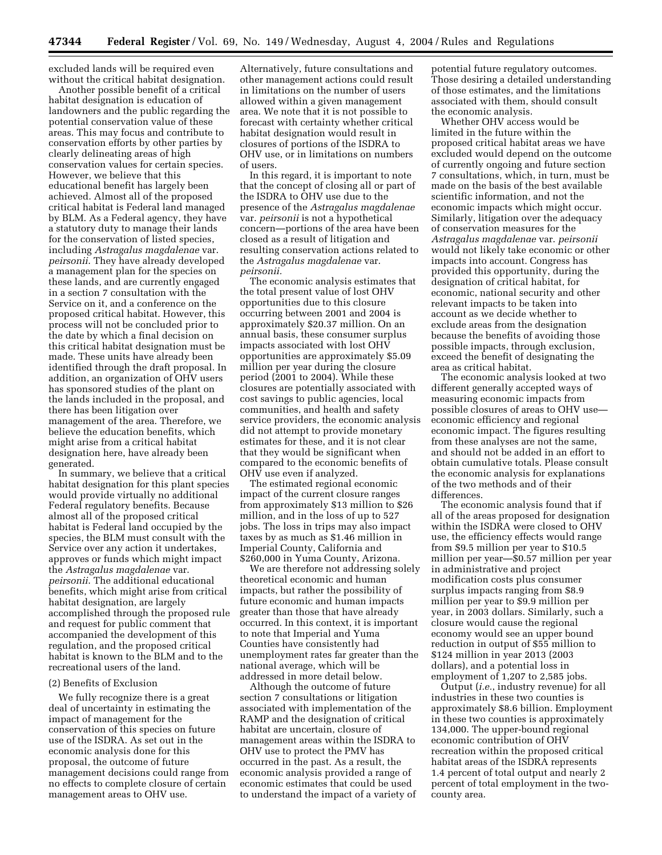excluded lands will be required even without the critical habitat designation.

Another possible benefit of a critical habitat designation is education of landowners and the public regarding the potential conservation value of these areas. This may focus and contribute to conservation efforts by other parties by clearly delineating areas of high conservation values for certain species. However, we believe that this educational benefit has largely been achieved. Almost all of the proposed critical habitat is Federal land managed by BLM. As a Federal agency, they have a statutory duty to manage their lands for the conservation of listed species, including *Astragalus magdalenae* var. *peirsonii*. They have already developed a management plan for the species on these lands, and are currently engaged in a section 7 consultation with the Service on it, and a conference on the proposed critical habitat. However, this process will not be concluded prior to the date by which a final decision on this critical habitat designation must be made. These units have already been identified through the draft proposal. In addition, an organization of OHV users has sponsored studies of the plant on the lands included in the proposal, and there has been litigation over management of the area. Therefore, we believe the education benefits, which might arise from a critical habitat designation here, have already been generated.

In summary, we believe that a critical habitat designation for this plant species would provide virtually no additional Federal regulatory benefits. Because almost all of the proposed critical habitat is Federal land occupied by the species, the BLM must consult with the Service over any action it undertakes, approves or funds which might impact the *Astragalus magdalenae* var. *peirsonii*. The additional educational benefits, which might arise from critical habitat designation, are largely accomplished through the proposed rule and request for public comment that accompanied the development of this regulation, and the proposed critical habitat is known to the BLM and to the recreational users of the land.

#### (2) Benefits of Exclusion

We fully recognize there is a great deal of uncertainty in estimating the impact of management for the conservation of this species on future use of the ISDRA. As set out in the economic analysis done for this proposal, the outcome of future management decisions could range from no effects to complete closure of certain management areas to OHV use.

Alternatively, future consultations and other management actions could result in limitations on the number of users allowed within a given management area. We note that it is not possible to forecast with certainty whether critical habitat designation would result in closures of portions of the ISDRA to OHV use, or in limitations on numbers of users.

In this regard, it is important to note that the concept of closing all or part of the ISDRA to OHV use due to the presence of the *Astragalus magdalenae* var. *peirsonii* is not a hypothetical concern—portions of the area have been closed as a result of litigation and resulting conservation actions related to the *Astragalus magdalenae* var. *peirsonii.*

The economic analysis estimates that the total present value of lost OHV opportunities due to this closure occurring between 2001 and 2004 is approximately \$20.37 million. On an annual basis, these consumer surplus impacts associated with lost OHV opportunities are approximately \$5.09 million per year during the closure period (2001 to 2004). While these closures are potentially associated with cost savings to public agencies, local communities, and health and safety service providers, the economic analysis did not attempt to provide monetary estimates for these, and it is not clear that they would be significant when compared to the economic benefits of  $OHV$  use even if analyzed.

The estimated regional economic impact of the current closure ranges from approximately \$13 million to \$26 million, and in the loss of up to 527 jobs. The loss in trips may also impact taxes by as much as \$1.46 million in Imperial County, California and \$260,000 in Yuma County, Arizona.

We are therefore not addressing solely theoretical economic and human impacts, but rather the possibility of future economic and human impacts greater than those that have already occurred. In this context, it is important to note that Imperial and Yuma Counties have consistently had unemployment rates far greater than the national average, which will be addressed in more detail below.

Although the outcome of future section 7 consultations or litigation associated with implementation of the RAMP and the designation of critical habitat are uncertain, closure of management areas within the ISDRA to OHV use to protect the PMV has occurred in the past. As a result, the economic analysis provided a range of economic estimates that could be used to understand the impact of a variety of potential future regulatory outcomes. Those desiring a detailed understanding of those estimates, and the limitations associated with them, should consult the economic analysis.

Whether OHV access would be limited in the future within the proposed critical habitat areas we have excluded would depend on the outcome of currently ongoing and future section 7 consultations, which, in turn, must be made on the basis of the best available scientific information, and not the economic impacts which might occur. Similarly, litigation over the adequacy of conservation measures for the *Astragalus magdalenae* var. *peirsonii* would not likely take economic or other impacts into account. Congress has provided this opportunity, during the designation of critical habitat, for economic, national security and other relevant impacts to be taken into account as we decide whether to exclude areas from the designation because the benefits of avoiding those possible impacts, through exclusion, exceed the benefit of designating the area as critical habitat.

The economic analysis looked at two different generally accepted ways of measuring economic impacts from possible closures of areas to OHV use economic efficiency and regional economic impact. The figures resulting from these analyses are not the same, and should not be added in an effort to obtain cumulative totals. Please consult the economic analysis for explanations of the two methods and of their differences.

The economic analysis found that if all of the areas proposed for designation within the ISDRA were closed to OHV use, the efficiency effects would range from \$9.5 million per year to \$10.5 million per year—\$0.57 million per year in administrative and project modification costs plus consumer surplus impacts ranging from \$8.9 million per year to \$9.9 million per year, in 2003 dollars. Similarly, such a closure would cause the regional economy would see an upper bound reduction in output of \$55 million to \$124 million in year 2013 (2003 dollars), and a potential loss in employment of 1,207 to 2,585 jobs.

Output (*i.e.*, industry revenue) for all industries in these two counties is approximately \$8.6 billion. Employment in these two counties is approximately 134,000. The upper-bound regional economic contribution of OHV recreation within the proposed critical habitat areas of the ISDRA represents 1.4 percent of total output and nearly 2 percent of total employment in the twocounty area.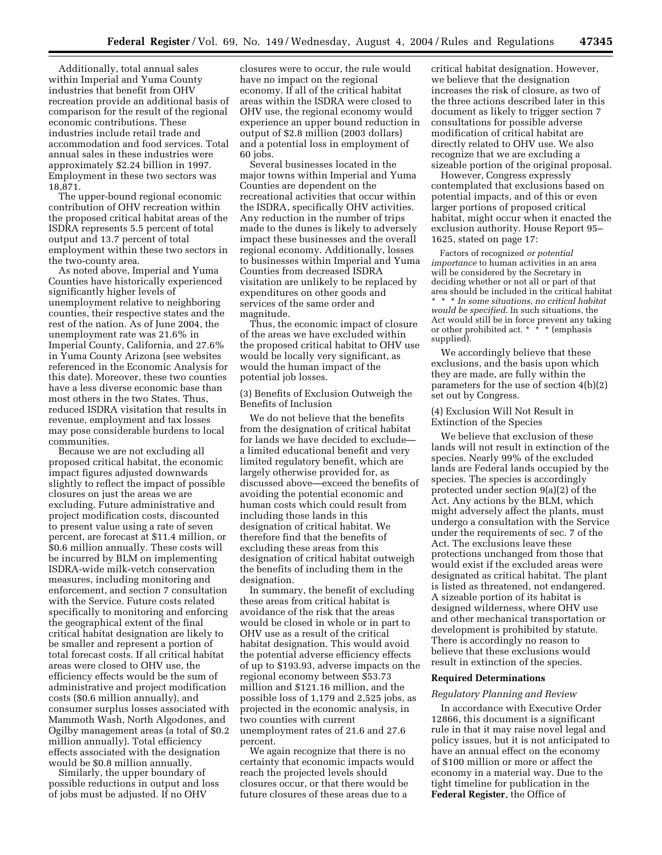Additionally, total annual sales within Imperial and Yuma County industries that benefit from OHV recreation provide an additional basis of comparison for the result of the regional economic contributions. These industries include retail trade and accommodation and food services. Total annual sales in these industries were approximately \$2.24 billion in 1997. Employment in these two sectors was 18,871.

The upper-bound regional economic contribution of OHV recreation within the proposed critical habitat areas of the ISDRA represents 5.5 percent of total output and 13.7 percent of total employment within these two sectors in the two-county area.

As noted above, Imperial and Yuma Counties have historically experienced significantly higher levels of unemployment relative to neighboring counties, their respective states and the rest of the nation. As of June 2004, the unemployment rate was 21.6% in Imperial County, California, and 27.6% in Yuma County Arizona (see websites referenced in the Economic Analysis for this date). Moreover, these two counties have a less diverse economic base than most others in the two States. Thus, reduced ISDRA visitation that results in revenue, employment and tax losses may pose considerable burdens to local communities.

Because we are not excluding all proposed critical habitat, the economic impact figures adjusted downwards slightly to reflect the impact of possible closures on just the areas we are excluding. Future administrative and project modification costs, discounted to present value using a rate of seven percent, are forecast at \$11.4 million, or \$0.6 million annually. These costs will be incurred by BLM on implementing ISDRA-wide milk-vetch conservation measures, including monitoring and enforcement, and section 7 consultation with the Service. Future costs related specifically to monitoring and enforcing the geographical extent of the final critical habitat designation are likely to be smaller and represent a portion of total forecast costs. If all critical habitat areas were closed to OHV use, the efficiency effects would be the sum of administrative and project modification costs (\$0.6 million annually), and consumer surplus losses associated with Mammoth Wash, North Algodones, and Ogilby management areas (a total of \$0.2 million annually). Total efficiency effects associated with the designation would be \$0.8 million annually.

Similarly, the upper boundary of possible reductions in output and loss of jobs must be adjusted. If no OHV

closures were to occur, the rule would have no impact on the regional economy. If all of the critical habitat areas within the ISDRA were closed to OHV use, the regional economy would experience an upper bound reduction in output of \$2.8 million (2003 dollars) and a potential loss in employment of 60 jobs.

Several businesses located in the major towns within Imperial and Yuma Counties are dependent on the recreational activities that occur within the ISDRA, specifically OHV activities. Any reduction in the number of trips made to the dunes is likely to adversely impact these businesses and the overall regional economy. Additionally, losses to businesses within Imperial and Yuma Counties from decreased ISDRA visitation are unlikely to be replaced by expenditures on other goods and services of the same order and magnitude.

Thus, the economic impact of closure of the areas we have excluded within the proposed critical habitat to OHV use would be locally very significant, as would the human impact of the potential job losses.

(3) Benefits of Exclusion Outweigh the Benefits of Inclusion

We do not believe that the benefits from the designation of critical habitat for lands we have decided to exclude a limited educational benefit and very limited regulatory benefit, which are largely otherwise provided for, as discussed above—exceed the benefits of avoiding the potential economic and human costs which could result from including those lands in this designation of critical habitat. We therefore find that the benefits of excluding these areas from this designation of critical habitat outweigh the benefits of including them in the designation.

In summary, the benefit of excluding these areas from critical habitat is avoidance of the risk that the areas would be closed in whole or in part to OHV use as a result of the critical habitat designation. This would avoid the potential adverse efficiency effects of up to \$193.93, adverse impacts on the regional economy between \$53.73 million and \$121.16 million, and the possible loss of 1,179 and 2,525 jobs, as projected in the economic analysis, in two counties with current unemployment rates of 21.6 and 27.6 percent.

We again recognize that there is no certainty that economic impacts would reach the projected levels should closures occur, or that there would be future closures of these areas due to a

critical habitat designation. However, we believe that the designation increases the risk of closure, as two of the three actions described later in this document as likely to trigger section 7 consultations for possible adverse modification of critical habitat are directly related to OHV use. We also recognize that we are excluding a sizeable portion of the original proposal.

However, Congress expressly contemplated that exclusions based on potential impacts, and of this or even larger portions of proposed critical habitat, might occur when it enacted the exclusion authority. House Report 95– 1625, stated on page 17:

Factors of recognized *or potential importance* to human activities in an area will be considered by the Secretary in deciding whether or not all or part of that area should be included in the critical habitat \* \* \* *In some situations, no critical habitat would be specified*. In such situations, the Act would still be in force prevent any taking or other prohibited act. \* \* \* (emphasis supplied).

We accordingly believe that these exclusions, and the basis upon which they are made, are fully within the parameters for the use of section 4(b)(2) set out by Congress.

(4) Exclusion Will Not Result in Extinction of the Species

We believe that exclusion of these lands will not result in extinction of the species. Nearly 99% of the excluded lands are Federal lands occupied by the species. The species is accordingly protected under section 9(a)(2) of the Act. Any actions by the BLM, which might adversely affect the plants, must undergo a consultation with the Service under the requirements of sec. 7 of the Act. The exclusions leave these protections unchanged from those that would exist if the excluded areas were designated as critical habitat. The plant is listed as threatened, not endangered. A sizeable portion of its habitat is designed wilderness, where OHV use and other mechanical transportation or development is prohibited by statute. There is accordingly no reason to believe that these exclusions would result in extinction of the species.

#### **Required Determinations**

#### *Regulatory Planning and Review*

In accordance with Executive Order 12866, this document is a significant rule in that it may raise novel legal and policy issues, but it is not anticipated to have an annual effect on the economy of \$100 million or more or affect the economy in a material way. Due to the tight timeline for publication in the **Federal Register**, the Office of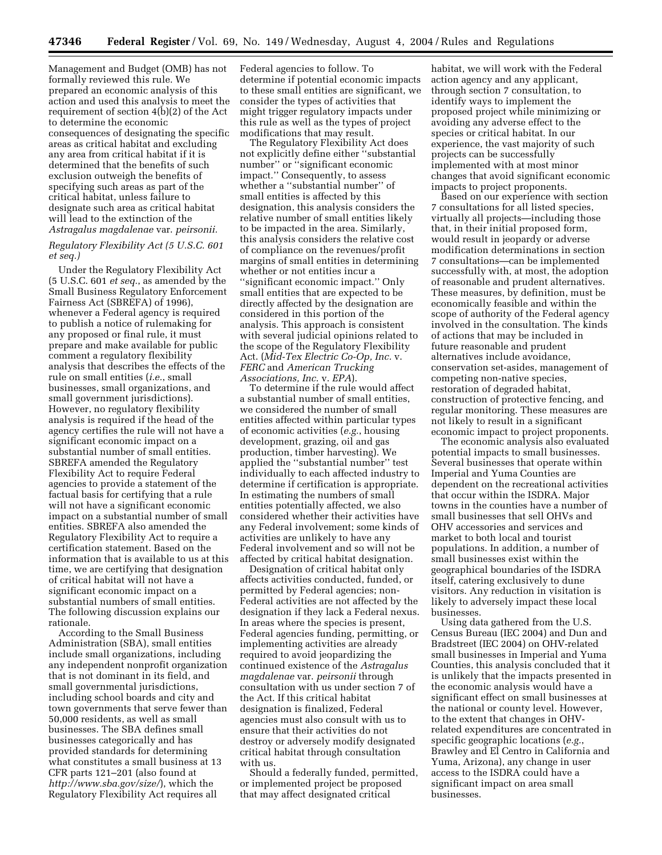Management and Budget (OMB) has not formally reviewed this rule. We prepared an economic analysis of this action and used this analysis to meet the requirement of section 4(b)(2) of the Act to determine the economic consequences of designating the specific areas as critical habitat and excluding any area from critical habitat if it is determined that the benefits of such exclusion outweigh the benefits of specifying such areas as part of the critical habitat, unless failure to designate such area as critical habitat will lead to the extinction of the *Astragalus magdalenae* var. *peirsonii.*

#### *Regulatory Flexibility Act (5 U.S.C. 601 et seq.)*

Under the Regulatory Flexibility Act (5 U.S.C. 601 *et seq.*, as amended by the Small Business Regulatory Enforcement Fairness Act (SBREFA) of 1996), whenever a Federal agency is required to publish a notice of rulemaking for any proposed or final rule, it must prepare and make available for public comment a regulatory flexibility analysis that describes the effects of the rule on small entities (*i.e.*, small businesses, small organizations, and small government jurisdictions). However, no regulatory flexibility analysis is required if the head of the agency certifies the rule will not have a significant economic impact on a substantial number of small entities. SBREFA amended the Regulatory Flexibility Act to require Federal agencies to provide a statement of the factual basis for certifying that a rule will not have a significant economic impact on a substantial number of small entities. SBREFA also amended the Regulatory Flexibility Act to require a certification statement. Based on the information that is available to us at this time, we are certifying that designation of critical habitat will not have a significant economic impact on a substantial numbers of small entities. The following discussion explains our rationale.

According to the Small Business Administration (SBA), small entities include small organizations, including any independent nonprofit organization that is not dominant in its field, and small governmental jurisdictions, including school boards and city and town governments that serve fewer than 50,000 residents, as well as small businesses. The SBA defines small businesses categorically and has provided standards for determining what constitutes a small business at 13 CFR parts 121–201 (also found at *<http://www.sba.gov/size/>*), which the Regulatory Flexibility Act requires all

Federal agencies to follow. To determine if potential economic impacts to these small entities are significant, we consider the types of activities that might trigger regulatory impacts under this rule as well as the types of project modifications that may result.

The Regulatory Flexibility Act does not explicitly define either ''substantial number'' or ''significant economic impact.'' Consequently, to assess whether a ''substantial number'' of small entities is affected by this designation, this analysis considers the relative number of small entities likely to be impacted in the area. Similarly, this analysis considers the relative cost of compliance on the revenues/profit margins of small entities in determining whether or not entities incur a ''significant economic impact.'' Only small entities that are expected to be directly affected by the designation are considered in this portion of the analysis. This approach is consistent with several judicial opinions related to the scope of the Regulatory Flexibility Act. (*Mid-Tex Electric Co-Op, Inc.* v. *FERC* and *American Trucking Associations, Inc*. v. *EPA*).

To determine if the rule would affect a substantial number of small entities, we considered the number of small entities affected within particular types of economic activities (*e.g.*, housing development, grazing, oil and gas production, timber harvesting). We applied the ''substantial number'' test individually to each affected industry to determine if certification is appropriate. In estimating the numbers of small entities potentially affected, we also considered whether their activities have any Federal involvement; some kinds of activities are unlikely to have any Federal involvement and so will not be affected by critical habitat designation.

Designation of critical habitat only affects activities conducted, funded, or permitted by Federal agencies; non-Federal activities are not affected by the designation if they lack a Federal nexus. In areas where the species is present, Federal agencies funding, permitting, or implementing activities are already required to avoid jeopardizing the continued existence of the *Astragalus magdalenae* var. *peirsonii* through consultation with us under section 7 of the Act. If this critical habitat designation is finalized, Federal agencies must also consult with us to ensure that their activities do not destroy or adversely modify designated critical habitat through consultation with us.

Should a federally funded, permitted, or implemented project be proposed that may affect designated critical

habitat, we will work with the Federal action agency and any applicant, through section 7 consultation, to identify ways to implement the proposed project while minimizing or avoiding any adverse effect to the species or critical habitat. In our experience, the vast majority of such projects can be successfully implemented with at most minor changes that avoid significant economic impacts to project proponents.

Based on our experience with section 7 consultations for all listed species, virtually all projects—including those that, in their initial proposed form, would result in jeopardy or adverse modification determinations in section 7 consultations—can be implemented successfully with, at most, the adoption of reasonable and prudent alternatives. These measures, by definition, must be economically feasible and within the scope of authority of the Federal agency involved in the consultation. The kinds of actions that may be included in future reasonable and prudent alternatives include avoidance, conservation set-asides, management of competing non-native species, restoration of degraded habitat, construction of protective fencing, and regular monitoring. These measures are not likely to result in a significant economic impact to project proponents.

The economic analysis also evaluated potential impacts to small businesses. Several businesses that operate within Imperial and Yuma Counties are dependent on the recreational activities that occur within the ISDRA. Major towns in the counties have a number of small businesses that sell OHVs and OHV accessories and services and market to both local and tourist populations. In addition, a number of small businesses exist within the geographical boundaries of the ISDRA itself, catering exclusively to dune visitors. Any reduction in visitation is likely to adversely impact these local businesses.

Using data gathered from the U.S. Census Bureau (IEC 2004) and Dun and Bradstreet (IEC 2004) on OHV-related small businesses in Imperial and Yuma Counties, this analysis concluded that it is unlikely that the impacts presented in the economic analysis would have a significant effect on small businesses at the national or county level. However, to the extent that changes in OHVrelated expenditures are concentrated in specific geographic locations (*e.g.*, Brawley and El Centro in California and Yuma, Arizona), any change in user access to the ISDRA could have a significant impact on area small businesses.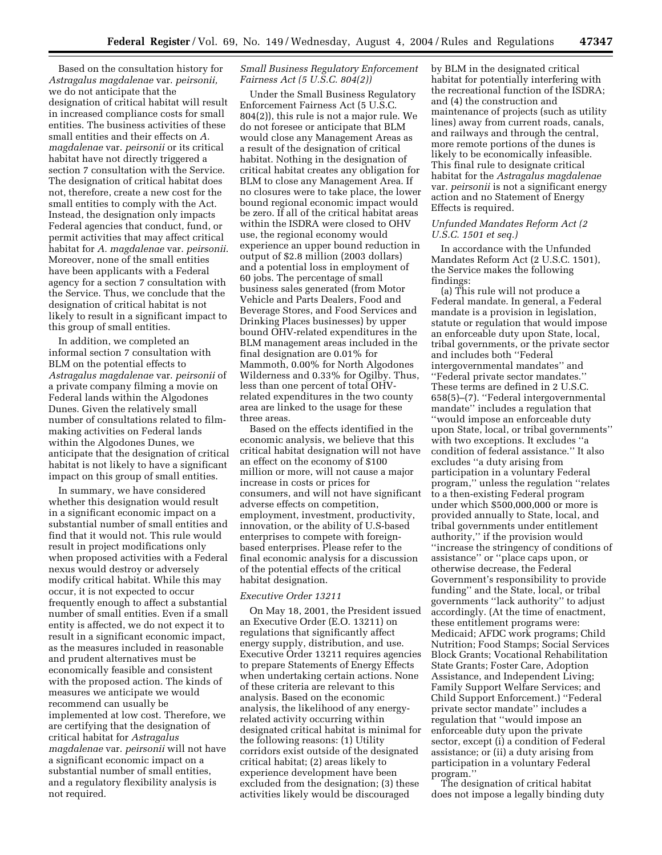Based on the consultation history for *Astragalus magdalenae* var. *peirsonii,* we do not anticipate that the designation of critical habitat will result in increased compliance costs for small entities. The business activities of these small entities and their effects on *A. magdalenae* var. *peirsonii* or its critical habitat have not directly triggered a section 7 consultation with the Service. The designation of critical habitat does not, therefore, create a new cost for the small entities to comply with the Act. Instead, the designation only impacts Federal agencies that conduct, fund, or permit activities that may affect critical habitat for *A. magdalenae* var. *peirsonii*. Moreover, none of the small entities have been applicants with a Federal agency for a section 7 consultation with the Service. Thus, we conclude that the designation of critical habitat is not likely to result in a significant impact to this group of small entities.

In addition, we completed an informal section 7 consultation with BLM on the potential effects to *Astragalus magdalenae* var. *peirsonii* of a private company filming a movie on Federal lands within the Algodones Dunes. Given the relatively small number of consultations related to filmmaking activities on Federal lands within the Algodones Dunes, we anticipate that the designation of critical habitat is not likely to have a significant impact on this group of small entities.

In summary, we have considered whether this designation would result in a significant economic impact on a substantial number of small entities and find that it would not. This rule would result in project modifications only when proposed activities with a Federal nexus would destroy or adversely modify critical habitat. While this may occur, it is not expected to occur frequently enough to affect a substantial number of small entities. Even if a small entity is affected, we do not expect it to result in a significant economic impact, as the measures included in reasonable and prudent alternatives must be economically feasible and consistent with the proposed action. The kinds of measures we anticipate we would recommend can usually be implemented at low cost. Therefore, we are certifying that the designation of critical habitat for *Astragalus magdalenae* var. *peirsonii* will not have a significant economic impact on a substantial number of small entities, and a regulatory flexibility analysis is not required.

#### *Small Business Regulatory Enforcement Fairness Act (5 U.S.C. 804(2))*

Under the Small Business Regulatory Enforcement Fairness Act (5 U.S.C. 804(2)), this rule is not a major rule. We do not foresee or anticipate that BLM would close any Management Areas as a result of the designation of critical habitat. Nothing in the designation of critical habitat creates any obligation for BLM to close any Management Area. If no closures were to take place, the lower bound regional economic impact would be zero. If all of the critical habitat areas within the ISDRA were closed to OHV use, the regional economy would experience an upper bound reduction in output of \$2.8 million (2003 dollars) and a potential loss in employment of 60 jobs. The percentage of small business sales generated (from Motor Vehicle and Parts Dealers, Food and Beverage Stores, and Food Services and Drinking Places businesses) by upper bound OHV-related expenditures in the BLM management areas included in the final designation are 0.01% for Mammoth, 0.00% for North Algodones Wilderness and 0.33% for Ogilby. Thus, less than one percent of total OHVrelated expenditures in the two county area are linked to the usage for these three areas.

Based on the effects identified in the economic analysis, we believe that this critical habitat designation will not have an effect on the economy of \$100 million or more, will not cause a major increase in costs or prices for consumers, and will not have significant adverse effects on competition, employment, investment, productivity, innovation, or the ability of U.S-based enterprises to compete with foreignbased enterprises. Please refer to the final economic analysis for a discussion of the potential effects of the critical habitat designation.

#### *Executive Order 13211*

On May 18, 2001, the President issued an Executive Order (E.O. 13211) on regulations that significantly affect energy supply, distribution, and use. Executive Order 13211 requires agencies to prepare Statements of Energy Effects when undertaking certain actions. None of these criteria are relevant to this analysis. Based on the economic analysis, the likelihood of any energyrelated activity occurring within designated critical habitat is minimal for the following reasons: (1) Utility corridors exist outside of the designated critical habitat; (2) areas likely to experience development have been excluded from the designation; (3) these activities likely would be discouraged

by BLM in the designated critical habitat for potentially interfering with the recreational function of the ISDRA; and (4) the construction and maintenance of projects (such as utility lines) away from current roads, canals, and railways and through the central, more remote portions of the dunes is likely to be economically infeasible. This final rule to designate critical habitat for the *Astragalus magdalenae* var. *peirsonii* is not a significant energy action and no Statement of Energy Effects is required.

#### *Unfunded Mandates Reform Act (2 U.S.C. 1501 et seq.)*

In accordance with the Unfunded Mandates Reform Act (2 U.S.C. 1501), the Service makes the following findings:

(a) This rule will not produce a Federal mandate. In general, a Federal mandate is a provision in legislation, statute or regulation that would impose an enforceable duty upon State, local, tribal governments, or the private sector and includes both ''Federal intergovernmental mandates'' and ''Federal private sector mandates.'' These terms are defined in 2 U.S.C. 658(5)–(7). ''Federal intergovernmental mandate'' includes a regulation that ''would impose an enforceable duty upon State, local, or tribal governments'' with two exceptions. It excludes ''a condition of federal assistance.'' It also excludes ''a duty arising from participation in a voluntary Federal program,'' unless the regulation ''relates to a then-existing Federal program under which \$500,000,000 or more is provided annually to State, local, and tribal governments under entitlement authority,'' if the provision would ''increase the stringency of conditions of assistance'' or ''place caps upon, or otherwise decrease, the Federal Government's responsibility to provide funding'' and the State, local, or tribal governments ''lack authority'' to adjust accordingly. (At the time of enactment, these entitlement programs were: Medicaid; AFDC work programs; Child Nutrition; Food Stamps; Social Services Block Grants; Vocational Rehabilitation State Grants; Foster Care, Adoption Assistance, and Independent Living; Family Support Welfare Services; and Child Support Enforcement.) ''Federal private sector mandate'' includes a regulation that ''would impose an enforceable duty upon the private sector, except (i) a condition of Federal assistance; or (ii) a duty arising from participation in a voluntary Federal program.''

The designation of critical habitat does not impose a legally binding duty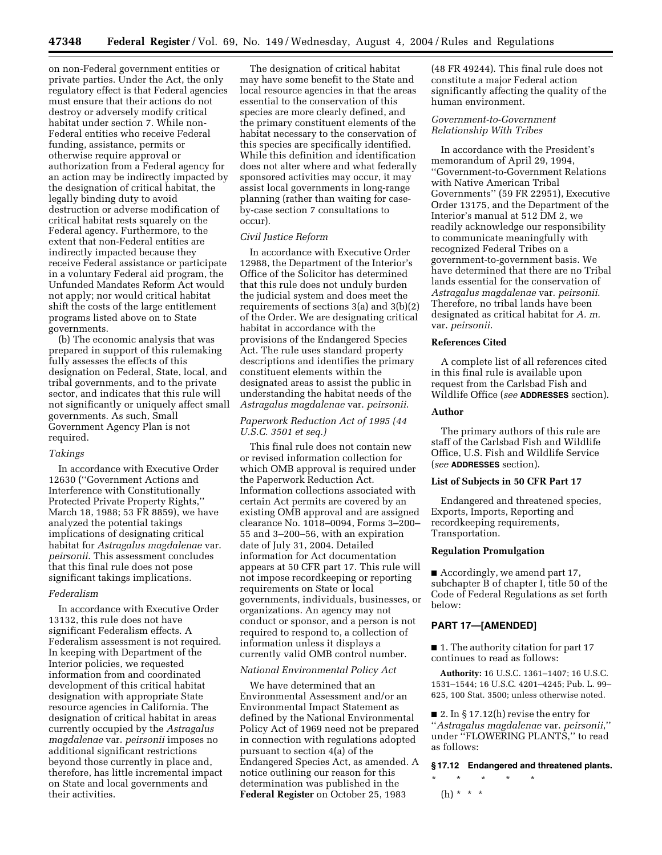on non-Federal government entities or private parties. Under the Act, the only regulatory effect is that Federal agencies must ensure that their actions do not destroy or adversely modify critical habitat under section 7. While non-Federal entities who receive Federal funding, assistance, permits or otherwise require approval or authorization from a Federal agency for an action may be indirectly impacted by the designation of critical habitat, the legally binding duty to avoid destruction or adverse modification of critical habitat rests squarely on the Federal agency. Furthermore, to the extent that non-Federal entities are indirectly impacted because they receive Federal assistance or participate in a voluntary Federal aid program, the Unfunded Mandates Reform Act would not apply; nor would critical habitat shift the costs of the large entitlement programs listed above on to State governments.

(b) The economic analysis that was prepared in support of this rulemaking fully assesses the effects of this designation on Federal, State, local, and tribal governments, and to the private sector, and indicates that this rule will not significantly or uniquely affect small governments. As such, Small Government Agency Plan is not required.

#### *Takings*

In accordance with Executive Order 12630 (''Government Actions and Interference with Constitutionally Protected Private Property Rights,'' March 18, 1988; 53 FR 8859), we have analyzed the potential takings implications of designating critical habitat for *Astragalus magdalenae* var. *peirsonii*. This assessment concludes that this final rule does not pose significant takings implications.

#### *Federalism*

In accordance with Executive Order 13132, this rule does not have significant Federalism effects. A Federalism assessment is not required. In keeping with Department of the Interior policies, we requested information from and coordinated development of this critical habitat designation with appropriate State resource agencies in California. The designation of critical habitat in areas currently occupied by the *Astragalus magdalenae* var. *peirsonii* imposes no additional significant restrictions beyond those currently in place and, therefore, has little incremental impact on State and local governments and their activities.

The designation of critical habitat may have some benefit to the State and local resource agencies in that the areas essential to the conservation of this species are more clearly defined, and the primary constituent elements of the habitat necessary to the conservation of this species are specifically identified. While this definition and identification does not alter where and what federally sponsored activities may occur, it may assist local governments in long-range planning (rather than waiting for caseby-case section 7 consultations to occur).

#### *Civil Justice Reform*

In accordance with Executive Order 12988, the Department of the Interior's Office of the Solicitor has determined that this rule does not unduly burden the judicial system and does meet the requirements of sections 3(a) and 3(b)(2) of the Order. We are designating critical habitat in accordance with the provisions of the Endangered Species Act. The rule uses standard property descriptions and identifies the primary constituent elements within the designated areas to assist the public in understanding the habitat needs of the *Astragalus magdalenae* var. *peirsonii*.

#### *Paperwork Reduction Act of 1995 (44 U.S.C. 3501 et seq.)*

This final rule does not contain new or revised information collection for which OMB approval is required under the Paperwork Reduction Act. Information collections associated with certain Act permits are covered by an existing OMB approval and are assigned clearance No. 1018–0094, Forms 3–200– 55 and 3–200–56, with an expiration date of July 31, 2004. Detailed information for Act documentation appears at 50 CFR part 17. This rule will not impose recordkeeping or reporting requirements on State or local governments, individuals, businesses, or organizations. An agency may not conduct or sponsor, and a person is not required to respond to, a collection of information unless it displays a currently valid OMB control number.

#### *National Environmental Policy Act*

We have determined that an Environmental Assessment and/or an Environmental Impact Statement as defined by the National Environmental Policy Act of 1969 need not be prepared in connection with regulations adopted pursuant to section 4(a) of the Endangered Species Act, as amended. A notice outlining our reason for this determination was published in the **Federal Register** on October 25, 1983

(48 FR 49244). This final rule does not constitute a major Federal action significantly affecting the quality of the human environment.

#### *Government-to-Government Relationship With Tribes*

In accordance with the President's memorandum of April 29, 1994, ''Government-to-Government Relations with Native American Tribal Governments'' (59 FR 22951), Executive Order 13175, and the Department of the Interior's manual at 512 DM 2, we readily acknowledge our responsibility to communicate meaningfully with recognized Federal Tribes on a government-to-government basis. We have determined that there are no Tribal lands essential for the conservation of *Astragalus magdalenae* var. *peirsonii*. Therefore, no tribal lands have been designated as critical habitat for *A. m.* var. *peirsonii*.

#### **References Cited**

A complete list of all references cited in this final rule is available upon request from the Carlsbad Fish and Wildlife Office (*see* **ADDRESSES** section).

#### **Author**

The primary authors of this rule are staff of the Carlsbad Fish and Wildlife Office, U.S. Fish and Wildlife Service (*see* **ADDRESSES** section).

#### **List of Subjects in 50 CFR Part 17**

Endangered and threatened species, Exports, Imports, Reporting and recordkeeping requirements, Transportation.

#### **Regulation Promulgation**

■ Accordingly, we amend part 17, subchapter B of chapter I, title 50 of the Code of Federal Regulations as set forth below:

#### **PART 17—[AMENDED]**

■ 1. The authority citation for part 17 continues to read as follows:

**Authority:** 16 U.S.C. 1361–1407; 16 U.S.C. 1531–1544; 16 U.S.C. 4201–4245; Pub. L. 99– 625, 100 Stat. 3500; unless otherwise noted.

 $\blacksquare$  2. In § 17.12(h) revise the entry for ''*Astragalus magdalenae* var. *peirsonii*,'' under ''FLOWERING PLANTS,'' to read as follows:

#### **§ 17.12 Endangered and threatened plants.**

\* \* \* \* \*

(h) \* \* \*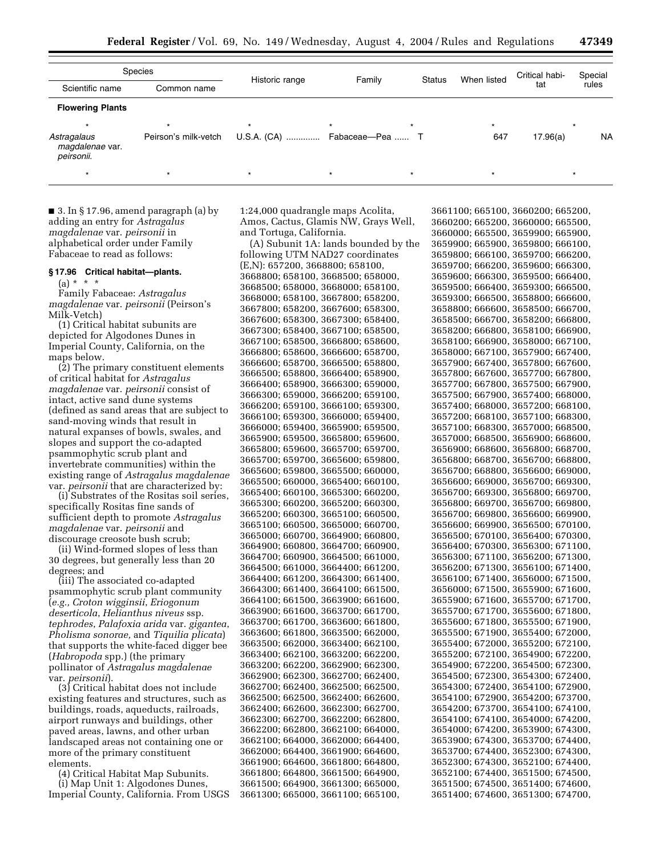| Species                                      |                      |                              |        |               |             | Critical habi- | Special   |
|----------------------------------------------|----------------------|------------------------------|--------|---------------|-------------|----------------|-----------|
| Scientific name                              | Common name          | Historic range               | Family | <b>Status</b> | When listed | tat            | rules     |
| <b>Flowering Plants</b>                      |                      |                              |        |               |             |                |           |
|                                              |                      | $\star$                      |        |               |             |                |           |
| Astragalaus<br>magdalenae var.<br>peirsonii. | Peirson's milk-vetch | U.S.A. (CA)  Fabaceae-Pea  T |        |               | 647         | 17.96(a)       | <b>NA</b> |
|                                              |                      |                              |        |               |             |                |           |

■ 3. In § 17.96, amend paragraph (a) by adding an entry for *Astragalus magdalenae* var. *peirsonii* in alphabetical order under Family Fabaceae to read as follows:

#### **§ 17.96 Critical habitat—plants.**

 $(a) * * * *$ 

Family Fabaceae: *Astragalus magdalenae* var. *peirsonii* (Peirson's Milk-Vetch)

(1) Critical habitat subunits are depicted for Algodones Dunes in Imperial County, California, on the maps below.

(2) The primary constituent elements of critical habitat for *Astragalus magdalenae* var. *peirsonii* consist of intact, active sand dune systems (defined as sand areas that are subject to sand-moving winds that result in natural expanses of bowls, swales, and slopes and support the co-adapted psammophytic scrub plant and invertebrate communities) within the existing range of *Astragalus magdalenae* var. *peirsonii* that are characterized by:

(i) Substrates of the Rositas soil series, specifically Rositas fine sands of sufficient depth to promote *Astragalus magdalenae* var. *peirsonii* and discourage creosote bush scrub;

(ii) Wind-formed slopes of less than 30 degrees, but generally less than 20 degrees; and

(iii) The associated co-adapted psammophytic scrub plant community (*e.g., Croton wigginsii*, *Eriogonum deserticola*, *Helianthus niveus* ssp. *tephrodes*, *Palafoxia arida* var. *gigantea*, *Pholisma sonorae,* and *Tiquilia plicata*) that supports the white-faced digger bee (*Habropoda* spp.) (the primary pollinator of *Astragalus magdalenae* var. *peirsonii*).

(3) Critical habitat does not include existing features and structures, such as buildings, roads, aqueducts, railroads, airport runways and buildings, other paved areas, lawns, and other urban landscaped areas not containing one or more of the primary constituent elements.

(4) Critical Habitat Map Subunits. (i) Map Unit 1: Algodones Dunes, Imperial County, California. From USGS

1:24,000 quadrangle maps Acolita, Amos, Cactus, Glamis NW, Grays Well, and Tortuga, California.

(A) Subunit 1A: lands bounded by the following UTM NAD27 coordinates (E,N): 657200, 3668800; 658100, 3668800; 658100, 3668500; 658000, 3668500; 658000, 3668000; 658100, 3668000; 658100, 3667800; 658200, 3667800; 658200, 3667600; 658300, 3667600; 658300, 3667300; 658400, 3667300; 658400, 3667100; 658500, 3667100; 658500, 3666800; 658600, 3666800; 658600, 3666600; 658700, 3666600; 658700, 3666500; 658800, 3666500; 658800, 3666400; 658900, 3666400; 658900, 3666300; 659000, 3666300; 659000, 3666200; 659100, 3666200; 659100, 3666100; 659300, 3666100; 659300, 3666000; 659400, 3666000; 659400, 3665900; 659500, 3665900; 659500, 3665800; 659600, 3665800; 659600, 3665700; 659700, 3665700; 659700, 3665600; 659800, 3665600; 659800, 3665500; 660000, 3665500; 660000, 3665400; 660100, 3665400; 660100, 3665300; 660200, 3665300; 660200, 3665200; 660300, 3665200; 660300, 3665100; 660500, 3665100; 660500, 3665000; 660700, 3665000; 660700, 3664900; 660800, 3664900; 660800, 3664700; 660900, 3664700; 660900, 3664500; 661000, 3664500; 661000, 3664400; 661200, 3664400; 661200, 3664300; 661400, 3664300; 661400, 3664100; 661500, 3664100; 661500, 3663900; 661600, 3663900; 661600, 3663700; 661700, 3663700; 661700, 3663600; 661800, 3663600; 661800, 3663500; 662000, 3663500; 662000, 3663400; 662100, 3663400; 662100, 3663200; 662200, 3663200; 662200, 3662900; 662300, 3662900; 662300, 3662700; 662400, 3662700; 662400, 3662500; 662500, 3662500; 662500, 3662400; 662600, 3662400; 662600, 3662300; 662700, 3662300; 662700, 3662200; 662800, 3662200; 662800, 3662100; 664000, 3662100; 664000, 3662000; 664400, 3662000; 664400, 3661900; 664600, 3661900; 664600, 3661800; 664800, 3661800; 664800, 3661500; 664900, 3661500; 664900, 3661300; 665000, 3661300; 665000, 3661100; 665100,

3661100; 665100, 3660200; 665200, 3660200; 665200, 3660000; 665500, 3660000; 665500, 3659900; 665900, 3659900; 665900, 3659800; 666100, 3659800; 666100, 3659700; 666200, 3659700; 666200, 3659600; 666300, 3659600; 666300, 3659500; 666400, 3659500; 666400, 3659300; 666500, 3659300; 666500, 3658800; 666600, 3658800; 666600, 3658500; 666700, 3658500; 666700, 3658200; 666800, 3658200; 666800, 3658100; 666900, 3658100; 666900, 3658000; 667100, 3658000; 667100, 3657900; 667400, 3657900; 667400, 3657800; 667600, 3657800; 667600, 3657700; 667800, 3657700; 667800, 3657500; 667900, 3657500; 667900, 3657400; 668000, 3657400; 668000, 3657200; 668100, 3657200; 668100, 3657100; 668300, 3657100; 668300, 3657000; 668500, 3657000; 668500, 3656900; 668600, 3656900; 668600, 3656800; 668700, 3656800; 668700, 3656700; 668800, 3656700; 668800, 3656600; 669000, 3656600; 669000, 3656700; 669300, 3656700; 669300, 3656800; 669700, 3656800; 669700, 3656700; 669800, 3656700; 669800, 3656600; 669900, 3656600; 669900, 3656500; 670100, 3656500; 670100, 3656400; 670300, 3656400; 670300, 3656300; 671100, 3656300; 671100, 3656200; 671300, 3656200; 671300, 3656100; 671400, 3656100; 671400, 3656000; 671500, 3656000; 671500, 3655900; 671600, 3655900; 671600, 3655700; 671700, 3655700; 671700, 3655600; 671800, 3655600; 671800, 3655500; 671900, 3655500; 671900, 3655400; 672000, 3655400; 672000, 3655200; 672100, 3655200; 672100, 3654900; 672200, 3654900; 672200, 3654500; 672300, 3654500; 672300, 3654300; 672400, 3654300; 672400, 3654100; 672900, 3654100; 672900, 3654200; 673700, 3654200; 673700, 3654100; 674100, 3654100; 674100, 3654000; 674200, 3654000; 674200, 3653900; 674300, 3653900; 674300, 3653700; 674400, 3653700; 674400, 3652300; 674300, 3652300; 674300, 3652100; 674400, 3652100; 674400, 3651500; 674500, 3651500; 674500, 3651400; 674600, 3651400; 674600, 3651300; 674700,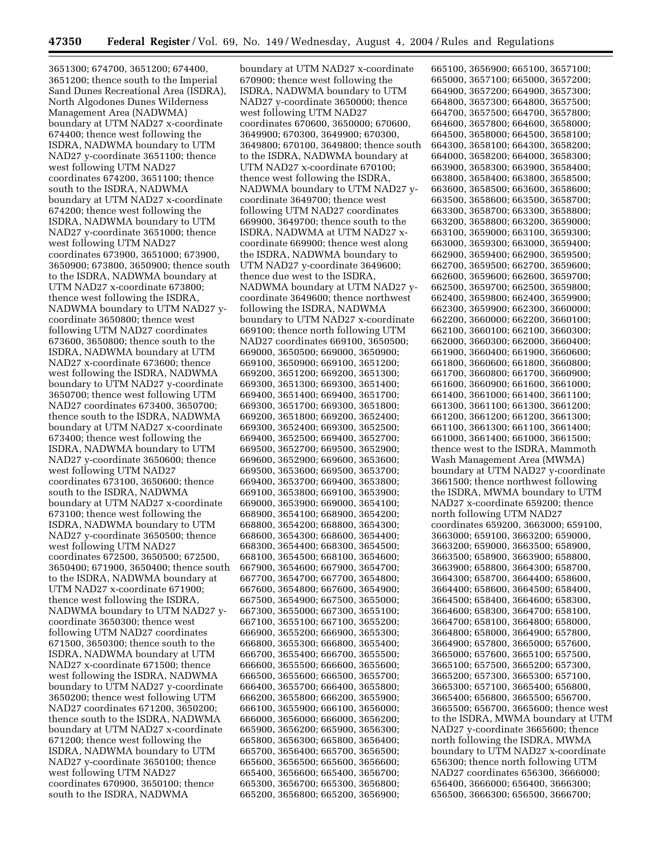3651300; 674700, 3651200; 674400, 3651200; thence south to the Imperial Sand Dunes Recreational Area (ISDRA), North Algodones Dunes Wilderness Management Area (NADWMA) boundary at UTM NAD27 x-coordinate 674400; thence west following the ISDRA, NADWMA boundary to UTM NAD27 y-coordinate 3651100; thence west following UTM NAD27 coordinates 674200, 3651100; thence south to the ISDRA, NADWMA boundary at UTM NAD27 x-coordinate 674200; thence west following the ISDRA, NADWMA boundary to UTM NAD27 y-coordinate 3651000; thence west following UTM NAD27 coordinates 673900, 3651000; 673900, 3650900; 673800, 3650900; thence south to the ISDRA, NADWMA boundary at UTM NAD27 x-coordinate 673800; thence west following the ISDRA, NADWMA boundary to UTM NAD27 ycoordinate 3650800; thence west following UTM NAD27 coordinates 673600, 3650800; thence south to the ISDRA, NADWMA boundary at UTM NAD27 x-coordinate 673600; thence west following the ISDRA, NADWMA boundary to UTM NAD27 y-coordinate 3650700; thence west following UTM NAD27 coordinates 673400, 3650700; thence south to the ISDRA, NADWMA boundary at UTM NAD27 x-coordinate 673400; thence west following the ISDRA, NADWMA boundary to UTM NAD27 y-coordinate 3650600; thence west following UTM NAD27 coordinates 673100, 3650600; thence south to the ISDRA, NADWMA boundary at UTM NAD27 x-coordinate 673100; thence west following the ISDRA, NADWMA boundary to UTM NAD27 y-coordinate 3650500; thence west following UTM NAD27 coordinates 672500, 3650500; 672500, 3650400; 671900, 3650400; thence south to the ISDRA, NADWMA boundary at UTM NAD27 x-coordinate 671900; thence west following the ISDRA, NADWMA boundary to UTM NAD27 ycoordinate 3650300; thence west following UTM NAD27 coordinates 671500, 3650300; thence south to the ISDRA, NADWMA boundary at UTM NAD27 x-coordinate 671500; thence west following the ISDRA, NADWMA boundary to UTM NAD27 y-coordinate 3650200; thence west following UTM NAD27 coordinates 671200, 3650200; thence south to the ISDRA, NADWMA boundary at UTM NAD27 x-coordinate 671200; thence west following the ISDRA, NADWMA boundary to UTM NAD27 y-coordinate 3650100; thence west following UTM NAD27 coordinates 670900, 3650100; thence south to the ISDRA, NADWMA

boundary at UTM NAD27 x-coordinate 670900; thence west following the ISDRA, NADWMA boundary to UTM NAD27 y-coordinate 3650000; thence west following UTM NAD27 coordinates 670600, 3650000; 670600, 3649900; 670300, 3649900; 670300, 3649800; 670100, 3649800; thence south to the ISDRA, NADWMA boundary at UTM NAD27 x-coordinate 670100; thence west following the ISDRA, NADWMA boundary to UTM NAD27 ycoordinate 3649700; thence west following UTM NAD27 coordinates 669900, 3649700; thence south to the ISDRA, NADWMA at UTM NAD27 xcoordinate 669900; thence west along the ISDRA, NADWMA boundary to UTM NAD27 y-coordinate 3649600; thence due west to the ISDRA, NADWMA boundary at UTM NAD27 ycoordinate 3649600; thence northwest following the ISDRA, NADWMA boundary to UTM NAD27 x-coordinate 669100; thence north following UTM NAD27 coordinates 669100, 3650500; 669000, 3650500; 669000, 3650900; 669100, 3650900; 669100, 3651200; 669200, 3651200; 669200, 3651300; 669300, 3651300; 669300, 3651400; 669400, 3651400; 669400, 3651700; 669300, 3651700; 669300, 3651800; 669200, 3651800; 669200, 3652400; 669300, 3652400; 669300, 3652500; 669400, 3652500; 669400, 3652700; 669500, 3652700; 669500, 3652900; 669600, 3652900; 669600, 3653600; 669500, 3653600; 669500, 3653700; 669400, 3653700; 669400, 3653800; 669100, 3653800; 669100, 3653900; 669000, 3653900; 669000, 3654100; 668900, 3654100; 668900, 3654200; 668800, 3654200; 668800, 3654300; 668600, 3654300; 668600, 3654400; 668300, 3654400; 668300, 3654500; 668100, 3654500; 668100, 3654600; 667900, 3654600; 667900, 3654700; 667700, 3654700; 667700, 3654800; 667600, 3654800; 667600, 3654900; 667500, 3654900; 667500, 3655000; 667300, 3655000; 667300, 3655100; 667100, 3655100; 667100, 3655200; 666900, 3655200; 666900, 3655300; 666800, 3655300; 666800, 3655400; 666700, 3655400; 666700, 3655500; 666600, 3655500; 666600, 3655600; 666500, 3655600; 666500, 3655700; 666400, 3655700; 666400, 3655800; 666200, 3655800; 666200, 3655900; 666100, 3655900; 666100, 3656000; 666000, 3656000; 666000, 3656200; 665900, 3656200; 665900, 3656300; 665800, 3656300; 665800, 3656400; 665700, 3656400; 665700, 3656500; 665600, 3656500; 665600, 3656600; 665400, 3656600; 665400, 3656700; 665300, 3656700; 665300, 3656800; 665200, 3656800; 665200, 3656900;

665100, 3656900; 665100, 3657100; 665000, 3657100; 665000, 3657200; 664900, 3657200; 664900, 3657300; 664800, 3657300; 664800, 3657500; 664700, 3657500; 664700, 3657800; 664600, 3657800; 664600, 3658000; 664500, 3658000; 664500, 3658100; 664300, 3658100; 664300, 3658200; 664000, 3658200; 664000, 3658300; 663900, 3658300; 663900, 3658400; 663800, 3658400; 663800, 3658500; 663600, 3658500; 663600, 3658600; 663500, 3658600; 663500, 3658700; 663300, 3658700; 663300, 3658800; 663200, 3658800; 663200, 3659000; 663100, 3659000; 663100, 3659300; 663000, 3659300; 663000, 3659400; 662900, 3659400; 662900, 3659500; 662700, 3659500; 662700, 3659600; 662600, 3659600; 662600, 3659700; 662500, 3659700; 662500, 3659800; 662400, 3659800; 662400, 3659900; 662300, 3659900; 662300, 3660000; 662200, 3660000; 662200, 3660100; 662100, 3660100; 662100, 3660300; 662000, 3660300; 662000, 3660400; 661900, 3660400; 661900, 3660600; 661800, 3660600; 661800, 3660800; 661700, 3660800; 661700, 3660900; 661600, 3660900; 661600, 3661000; 661400, 3661000; 661400, 3661100; 661300, 3661100; 661300, 3661200; 661200, 3661200; 661200, 3661300; 661100, 3661300; 661100, 3661400; 661000, 3661400; 661000, 3661500; thence west to the ISDRA, Mammoth Wash Management Area (MWMA) boundary at UTM NAD27 y-coordinate 3661500; thence northwest following the ISDRA, MWMA boundary to UTM NAD27 x-coordinate 659200; thence north following UTM NAD27 coordinates 659200, 3663000; 659100, 3663000; 659100, 3663200; 659000, 3663200; 659000, 3663500; 658900, 3663500; 658900, 3663900; 658800, 3663900; 658800, 3664300; 658700, 3664300; 658700, 3664400; 658600, 3664400; 658600, 3664500; 658400, 3664500; 658400, 3664600; 658300, 3664600; 658300, 3664700; 658100, 3664700; 658100, 3664800; 658000, 3664800; 658000, 3664900; 657800, 3664900; 657800, 3665000; 657600, 3665000; 657600, 3665100; 657500, 3665100; 657500, 3665200; 657300, 3665200; 657300, 3665300; 657100, 3665300; 657100, 3665400; 656800, 3665400; 656800, 3665500; 656700, 3665500; 656700, 3665600; thence west to the ISDRA, MWMA boundary at UTM NAD27 y-coordinate 3665600; thence north following the ISDRA, MWMA boundary to UTM NAD27 x-coordinate 656300; thence north following UTM NAD27 coordinates 656300, 3666000; 656400, 3666000; 656400, 3666300; 656500, 3666300; 656500, 3666700;